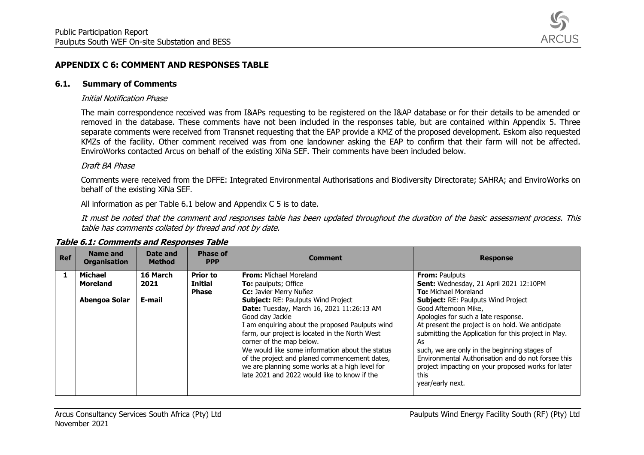

# **APPENDIX C 6: COMMENT AND RESPONSES TABLE**

#### **6.1. Summary of Comments**

#### Initial Notification Phase

The main correspondence received was from I&APs requesting to be registered on the I&AP database or for their details to be amended or removed in the database. These comments have not been included in the responses table, but are contained within Appendix 5. Three separate comments were received from Transnet requesting that the EAP provide a KMZ of the proposed development. Eskom also requested KMZs of the facility. Other comment received was from one landowner asking the EAP to confirm that their farm will not be affected. EnviroWorks contacted Arcus on behalf of the existing XiNa SEF. Their comments have been included below.

### Draft BA Phase

Comments were received from the DFFE: Integrated Environmental Authorisations and Biodiversity Directorate; SAHRA; and EnviroWorks on behalf of the existing XiNa SEF.

All information as per Table 6.1 below and Appendix C 5 is to date.

It must be noted that the comment and responses table has been updated throughout the duration of the basic assessment process. This table has comments collated by thread and not by date.

| <b>Ref</b> | <b>Name and</b><br><b>Organisation</b>      | Date and<br><b>Method</b>  | <b>Phase of</b><br><b>PPP</b>                     | <b>Comment</b>                                                                                                                                                                                                                                                                                                                                                                                                                                                                                                                             | <b>Response</b>                                                                                                                                                                                                                                                                                                                                                                                                                                                                                                     |
|------------|---------------------------------------------|----------------------------|---------------------------------------------------|--------------------------------------------------------------------------------------------------------------------------------------------------------------------------------------------------------------------------------------------------------------------------------------------------------------------------------------------------------------------------------------------------------------------------------------------------------------------------------------------------------------------------------------------|---------------------------------------------------------------------------------------------------------------------------------------------------------------------------------------------------------------------------------------------------------------------------------------------------------------------------------------------------------------------------------------------------------------------------------------------------------------------------------------------------------------------|
|            | Michael<br><b>Moreland</b><br>Abengoa Solar | 16 March<br>2021<br>E-mail | <b>Prior to</b><br><b>Initial</b><br><b>Phase</b> | <b>From:</b> Michael Moreland<br><b>To:</b> paulputs; Office<br>Cc: Javier Merry Nuñez<br><b>Subject: RE: Paulputs Wind Project</b><br>Date: Tuesday, March 16, 2021 11:26:13 AM<br>Good day Jackie<br>I am enquiring about the proposed Paulputs wind<br>farm, our project is located in the North West<br>corner of the map below.<br>We would like some information about the status<br>of the project and planed commencement dates,<br>we are planning some works at a high level for<br>late 2021 and 2022 would like to know if the | <b>From: Paulputs</b><br>Sent: Wednesday, 21 April 2021 12:10PM<br><b>To:</b> Michael Moreland<br><b>Subject: RE: Paulputs Wind Project</b><br>Good Afternoon Mike,<br>Apologies for such a late response.<br>At present the project is on hold. We anticipate<br>submitting the Application for this project in May.<br>As<br>such, we are only in the beginning stages of<br>Environmental Authorisation and do not forsee this<br>project impacting on your proposed works for later<br>this<br>year/early next. |

## **Table 6.1: Comments and Responses Table**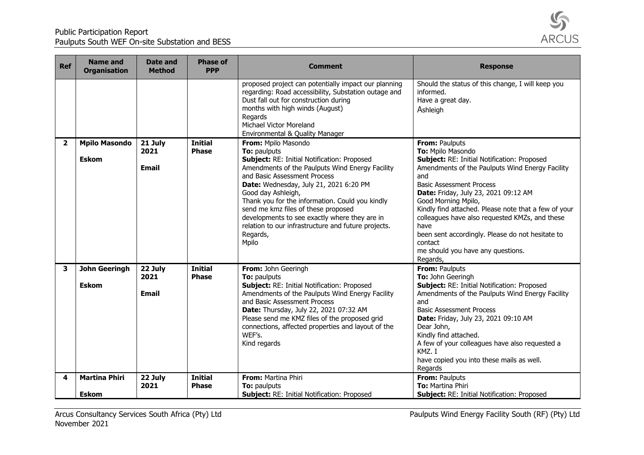

| <b>Ref</b>              | <b>Name and</b><br><b>Organisation</b> | Date and<br><b>Method</b>       | <b>Phase of</b><br><b>PPP</b>  | <b>Comment</b>                                                                                                                                                                                                                                                                                                                                                                                                                                               | <b>Response</b>                                                                                                                                                                                                                                                                                                                                                                                                                                                                  |
|-------------------------|----------------------------------------|---------------------------------|--------------------------------|--------------------------------------------------------------------------------------------------------------------------------------------------------------------------------------------------------------------------------------------------------------------------------------------------------------------------------------------------------------------------------------------------------------------------------------------------------------|----------------------------------------------------------------------------------------------------------------------------------------------------------------------------------------------------------------------------------------------------------------------------------------------------------------------------------------------------------------------------------------------------------------------------------------------------------------------------------|
|                         |                                        |                                 |                                | proposed project can potentially impact our planning<br>regarding: Road accessibility, Substation outage and<br>Dust fall out for construction during<br>months with high winds (August)<br>Regards<br>Michael Victor Moreland<br>Environmental & Quality Manager                                                                                                                                                                                            | Should the status of this change, I will keep you<br>informed.<br>Have a great day.<br>Ashleigh                                                                                                                                                                                                                                                                                                                                                                                  |
| $\overline{\mathbf{2}}$ | <b>Mpilo Masondo</b><br><b>Eskom</b>   | 21 July<br>2021<br><b>Email</b> | <b>Initial</b><br><b>Phase</b> | From: Mpilo Masondo<br>To: paulputs<br>Subject: RE: Initial Notification: Proposed<br>Amendments of the Paulputs Wind Energy Facility<br>and Basic Assessment Process<br>Date: Wednesday, July 21, 2021 6:20 PM<br>Good day Ashleigh,<br>Thank you for the information. Could you kindly<br>send me kmz files of these proposed<br>developments to see exactly where they are in<br>relation to our infrastructure and future projects.<br>Regards,<br>Mpilo | From: Paulputs<br>To: Mpilo Masondo<br>Subject: RE: Initial Notification: Proposed<br>Amendments of the Paulputs Wind Energy Facility<br>and<br><b>Basic Assessment Process</b><br>Date: Friday, July 23, 2021 09:12 AM<br>Good Morning Mpilo,<br>Kindly find attached. Please note that a few of your<br>colleagues have also requested KMZs, and these<br>have<br>been sent accordingly. Please do not hesitate to<br>contact<br>me should you have any questions.<br>Regards, |
| 3                       | <b>John Geeringh</b><br><b>Eskom</b>   | 22 July<br>2021<br><b>Email</b> | <b>Initial</b><br><b>Phase</b> | From: John Geeringh<br>To: paulputs<br>Subject: RE: Initial Notification: Proposed<br>Amendments of the Paulputs Wind Energy Facility<br>and Basic Assessment Process<br>Date: Thursday, July 22, 2021 07:32 AM<br>Please send me KMZ files of the proposed grid<br>connections, affected properties and layout of the<br>WEF's.<br>Kind regards                                                                                                             | From: Paulputs<br>To: John Geeringh<br>Subject: RE: Initial Notification: Proposed<br>Amendments of the Paulputs Wind Energy Facility<br>and<br><b>Basic Assessment Process</b><br>Date: Friday, July 23, 2021 09:10 AM<br>Dear John,<br>Kindly find attached.<br>A few of your colleagues have also requested a<br>KMZ. I<br>have copied you into these mails as well.<br>Regards                                                                                               |
| 4                       | <b>Martina Phiri</b><br><b>Eskom</b>   | 22 July<br>2021                 | <b>Initial</b><br><b>Phase</b> | <b>From: Martina Phiri</b><br>To: paulputs<br>Subject: RE: Initial Notification: Proposed                                                                                                                                                                                                                                                                                                                                                                    | From: Paulputs<br>To: Martina Phiri<br><b>Subject: RE: Initial Notification: Proposed</b>                                                                                                                                                                                                                                                                                                                                                                                        |

Arcus Consultancy Services South Africa (Pty) Ltd Paulputs Wind Energy Facility South (RF) (Pty) Ltd Paulputs Wind Energy Facility South (RF) (Pty) Ltd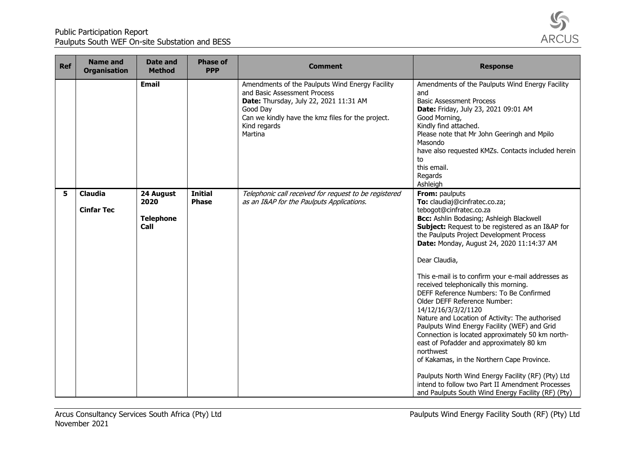

| <b>Ref</b> | <b>Name and</b><br><b>Organisation</b> | Date and<br><b>Method</b>                     | <b>Phase of</b><br><b>PPP</b>  | <b>Comment</b>                                                                                                                                                                                                        | <b>Response</b>                                                                                                                                                                                                                                                                                                                                                                                                                                                                                                                                                                          |
|------------|----------------------------------------|-----------------------------------------------|--------------------------------|-----------------------------------------------------------------------------------------------------------------------------------------------------------------------------------------------------------------------|------------------------------------------------------------------------------------------------------------------------------------------------------------------------------------------------------------------------------------------------------------------------------------------------------------------------------------------------------------------------------------------------------------------------------------------------------------------------------------------------------------------------------------------------------------------------------------------|
|            |                                        | <b>Email</b>                                  |                                | Amendments of the Paulputs Wind Energy Facility<br>and Basic Assessment Process<br>Date: Thursday, July 22, 2021 11:31 AM<br>Good Day<br>Can we kindly have the kmz files for the project.<br>Kind regards<br>Martina | Amendments of the Paulputs Wind Energy Facility<br>and<br><b>Basic Assessment Process</b><br>Date: Friday, July 23, 2021 09:01 AM<br>Good Morning,<br>Kindly find attached.<br>Please note that Mr John Geeringh and Mpilo<br>Masondo<br>have also requested KMZs. Contacts included herein<br>to<br>this email.<br>Regards<br>Ashleigh                                                                                                                                                                                                                                                  |
| 5          | <b>Claudia</b><br><b>Cinfar Tec</b>    | 24 August<br>2020<br><b>Telephone</b><br>Call | <b>Initial</b><br><b>Phase</b> | Telephonic call received for request to be registered<br>as an I&AP for the Paulputs Applications.                                                                                                                    | From: paulputs<br>To: claudiaj@cinfratec.co.za;<br>tebogot@cinfratec.co.za<br>Bcc: Ashlin Bodasing; Ashleigh Blackwell<br>Subject: Request to be registered as an I&AP for<br>the Paulputs Project Development Process<br>Date: Monday, August 24, 2020 11:14:37 AM<br>Dear Claudia,<br>This e-mail is to confirm your e-mail addresses as<br>received telephonically this morning.<br>DEFF Reference Numbers: To Be Confirmed<br>Older DEFF Reference Number:<br>14/12/16/3/3/2/1120<br>Nature and Location of Activity: The authorised<br>Paulputs Wind Energy Facility (WEF) and Grid |
|            |                                        |                                               |                                |                                                                                                                                                                                                                       | Connection is located approximately 50 km north-<br>east of Pofadder and approximately 80 km<br>northwest<br>of Kakamas, in the Northern Cape Province.<br>Paulputs North Wind Energy Facility (RF) (Pty) Ltd<br>intend to follow two Part II Amendment Processes<br>and Paulputs South Wind Energy Facility (RF) (Pty)                                                                                                                                                                                                                                                                  |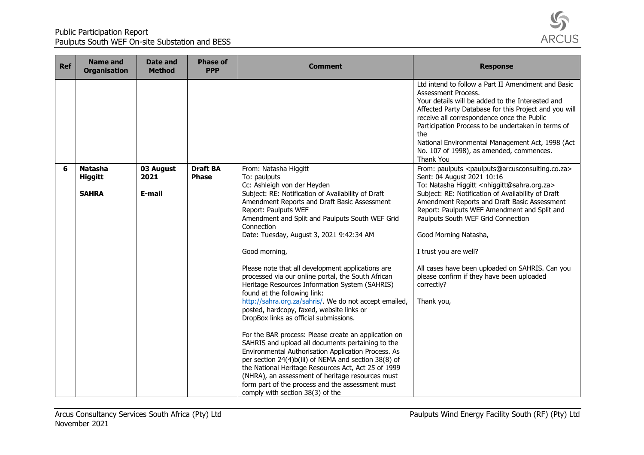

| <b>Ref</b> | <b>Name and</b><br><b>Organisation</b>           | Date and<br><b>Method</b>   | <b>Phase of</b><br><b>PPP</b>   | <b>Comment</b>                                                                                                                                                                                                                                                                                                                                                                                                                                                                                                                                                                                                                                                                                                                                                                                                                                                                                                                                                                                                                                                            | <b>Response</b>                                                                                                                                                                                                                                                                                                                                                                                                                                                                                                                                                             |
|------------|--------------------------------------------------|-----------------------------|---------------------------------|---------------------------------------------------------------------------------------------------------------------------------------------------------------------------------------------------------------------------------------------------------------------------------------------------------------------------------------------------------------------------------------------------------------------------------------------------------------------------------------------------------------------------------------------------------------------------------------------------------------------------------------------------------------------------------------------------------------------------------------------------------------------------------------------------------------------------------------------------------------------------------------------------------------------------------------------------------------------------------------------------------------------------------------------------------------------------|-----------------------------------------------------------------------------------------------------------------------------------------------------------------------------------------------------------------------------------------------------------------------------------------------------------------------------------------------------------------------------------------------------------------------------------------------------------------------------------------------------------------------------------------------------------------------------|
|            |                                                  |                             |                                 |                                                                                                                                                                                                                                                                                                                                                                                                                                                                                                                                                                                                                                                                                                                                                                                                                                                                                                                                                                                                                                                                           | Ltd intend to follow a Part II Amendment and Basic<br>Assessment Process.<br>Your details will be added to the Interested and<br>Affected Party Database for this Project and you will<br>receive all correspondence once the Public<br>Participation Process to be undertaken in terms of<br>the.<br>National Environmental Management Act, 1998 (Act<br>No. 107 of 1998), as amended, commences.<br>Thank You                                                                                                                                                             |
| 6          | <b>Natasha</b><br><b>Higgitt</b><br><b>SAHRA</b> | 03 August<br>2021<br>E-mail | <b>Draft BA</b><br><b>Phase</b> | From: Natasha Higgitt<br>To: paulputs<br>Cc: Ashleigh von der Heyden<br>Subject: RE: Notification of Availability of Draft<br>Amendment Reports and Draft Basic Assessment<br>Report: Paulputs WEF<br>Amendment and Split and Paulputs South WEF Grid<br>Connection<br>Date: Tuesday, August 3, 2021 9:42:34 AM<br>Good morning,<br>Please note that all development applications are<br>processed via our online portal, the South African<br>Heritage Resources Information System (SAHRIS)<br>found at the following link:<br>http://sahra.org.za/sahris/. We do not accept emailed,<br>posted, hardcopy, faxed, website links or<br>DropBox links as official submissions.<br>For the BAR process: Please create an application on<br>SAHRIS and upload all documents pertaining to the<br>Environmental Authorisation Application Process. As<br>per section 24(4)b(iii) of NEMA and section 38(8) of<br>the National Heritage Resources Act, Act 25 of 1999<br>(NHRA), an assessment of heritage resources must<br>form part of the process and the assessment must | From: paulputs <paulputs@arcusconsulting.co.za><br/>Sent: 04 August 2021 10:16<br/>To: Natasha Higgitt <nhiggitt@sahra.org.za><br/>Subject: RE: Notification of Availability of Draft<br/>Amendment Reports and Draft Basic Assessment<br/>Report: Paulputs WEF Amendment and Split and<br/>Paulputs South WEF Grid Connection<br/>Good Morning Natasha,<br/>I trust you are well?<br/>All cases have been uploaded on SAHRIS. Can you<br/>please confirm if they have been uploaded<br/>correctly?<br/>Thank you,</nhiggitt@sahra.org.za></paulputs@arcusconsulting.co.za> |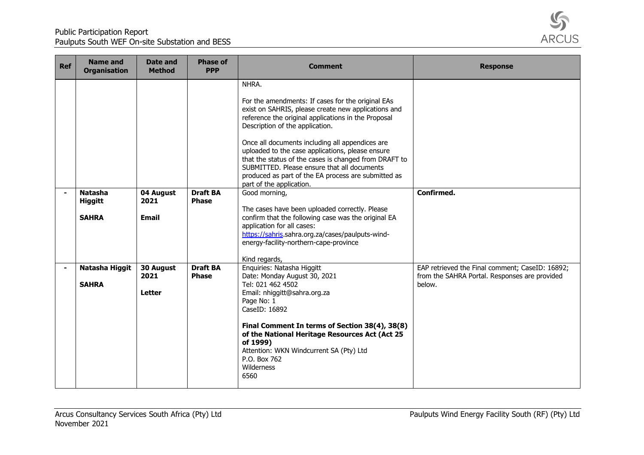

| <b>Ref</b>     | <b>Name and</b><br><b>Organisation</b> | Date and<br><b>Method</b>          | <b>Phase of</b><br><b>PPP</b>   | <b>Comment</b>                                                                                                                                                                                                                                                                                                                                                                                                                                                                                                | <b>Response</b>                                                                                            |
|----------------|----------------------------------------|------------------------------------|---------------------------------|---------------------------------------------------------------------------------------------------------------------------------------------------------------------------------------------------------------------------------------------------------------------------------------------------------------------------------------------------------------------------------------------------------------------------------------------------------------------------------------------------------------|------------------------------------------------------------------------------------------------------------|
|                |                                        |                                    |                                 | NHRA.<br>For the amendments: If cases for the original EAs<br>exist on SAHRIS, please create new applications and<br>reference the original applications in the Proposal<br>Description of the application.<br>Once all documents including all appendices are<br>uploaded to the case applications, please ensure<br>that the status of the cases is changed from DRAFT to<br>SUBMITTED. Please ensure that all documents<br>produced as part of the EA process are submitted as<br>part of the application. |                                                                                                            |
| $\blacksquare$ | <b>Natasha</b><br><b>Higgitt</b>       | 04 August<br>2021                  | <b>Draft BA</b><br><b>Phase</b> | Good morning,                                                                                                                                                                                                                                                                                                                                                                                                                                                                                                 | Confirmed.                                                                                                 |
|                | <b>SAHRA</b>                           | <b>Email</b>                       |                                 | The cases have been uploaded correctly. Please<br>confirm that the following case was the original EA<br>application for all cases:<br>https://sahris.sahra.org.za/cases/paulputs-wind-<br>energy-facility-northern-cape-province<br>Kind regards,                                                                                                                                                                                                                                                            |                                                                                                            |
| $\blacksquare$ | Natasha Higgit<br><b>SAHRA</b>         | 30 August<br>2021<br><b>Letter</b> | <b>Draft BA</b><br><b>Phase</b> | Enquiries: Natasha Higgitt<br>Date: Monday August 30, 2021<br>Tel: 021 462 4502<br>Email: nhiggitt@sahra.org.za<br>Page No: 1<br>CaseID: 16892<br>Final Comment In terms of Section 38(4), 38(8)<br>of the National Heritage Resources Act (Act 25<br>of 1999)<br>Attention: WKN Windcurrent SA (Pty) Ltd<br>P.O. Box 762<br>Wilderness<br>6560                                                                                                                                                               | EAP retrieved the Final comment; CaseID: 16892;<br>from the SAHRA Portal. Responses are provided<br>below. |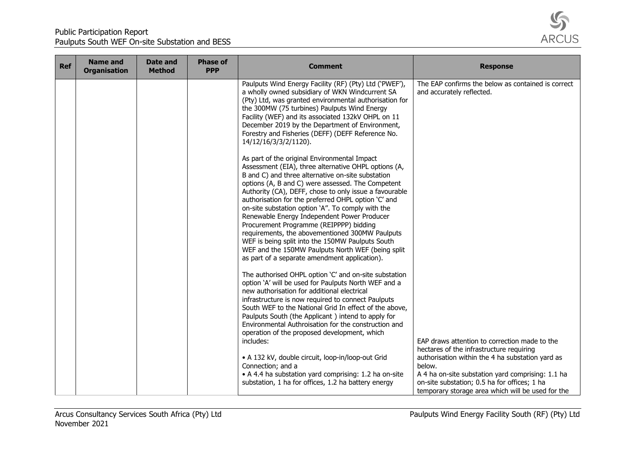

| <b>Ref</b> | <b>Name and</b><br><b>Organisation</b> | Date and<br><b>Method</b> | <b>Phase of</b><br><b>PPP</b> | <b>Comment</b>                                                                                                                                                                                                                                                                                                                                                                                                                                                                                                                                                                                                                                                                              | <b>Response</b>                                                                                                                                                                                                                                                                                                   |
|------------|----------------------------------------|---------------------------|-------------------------------|---------------------------------------------------------------------------------------------------------------------------------------------------------------------------------------------------------------------------------------------------------------------------------------------------------------------------------------------------------------------------------------------------------------------------------------------------------------------------------------------------------------------------------------------------------------------------------------------------------------------------------------------------------------------------------------------|-------------------------------------------------------------------------------------------------------------------------------------------------------------------------------------------------------------------------------------------------------------------------------------------------------------------|
|            |                                        |                           |                               | Paulputs Wind Energy Facility (RF) (Pty) Ltd ('PWEF'),<br>a wholly owned subsidiary of WKN Windcurrent SA<br>(Pty) Ltd, was granted environmental authorisation for<br>the 300MW (75 turbines) Paulputs Wind Energy<br>Facility (WEF) and its associated 132kV OHPL on 11<br>December 2019 by the Department of Environment,<br>Forestry and Fisheries (DEFF) (DEFF Reference No.<br>14/12/16/3/3/2/1120).                                                                                                                                                                                                                                                                                  | The EAP confirms the below as contained is correct<br>and accurately reflected.                                                                                                                                                                                                                                   |
|            |                                        |                           |                               | As part of the original Environmental Impact<br>Assessment (EIA), three alternative OHPL options (A,<br>B and C) and three alternative on-site substation<br>options (A, B and C) were assessed. The Competent<br>Authority (CA), DEFF, chose to only issue a favourable<br>authorisation for the preferred OHPL option 'C' and<br>on-site substation option 'A". To comply with the<br>Renewable Energy Independent Power Producer<br>Procurement Programme (REIPPPP) bidding<br>requirements, the abovementioned 300MW Paulputs<br>WEF is being split into the 150MW Paulputs South<br>WEF and the 150MW Paulputs North WEF (being split<br>as part of a separate amendment application). |                                                                                                                                                                                                                                                                                                                   |
|            |                                        |                           |                               | The authorised OHPL option 'C' and on-site substation<br>option 'A' will be used for Paulputs North WEF and a<br>new authorisation for additional electrical<br>infrastructure is now required to connect Paulputs<br>South WEF to the National Grid In effect of the above,<br>Paulputs South (the Applicant) intend to apply for<br>Environmental Authroisation for the construction and<br>operation of the proposed development, which<br>includes:<br>• A 132 kV, double circuit, loop-in/loop-out Grid<br>Connection; and a<br>• A 4.4 ha substation yard comprising: 1.2 ha on-site<br>substation, 1 ha for offices, 1.2 ha battery energy                                           | EAP draws attention to correction made to the<br>hectares of the infrastructure requiring<br>authorisation within the 4 ha substation yard as<br>below.<br>A 4 ha on-site substation yard comprising: 1.1 ha<br>on-site substation; 0.5 ha for offices; 1 ha<br>temporary storage area which will be used for the |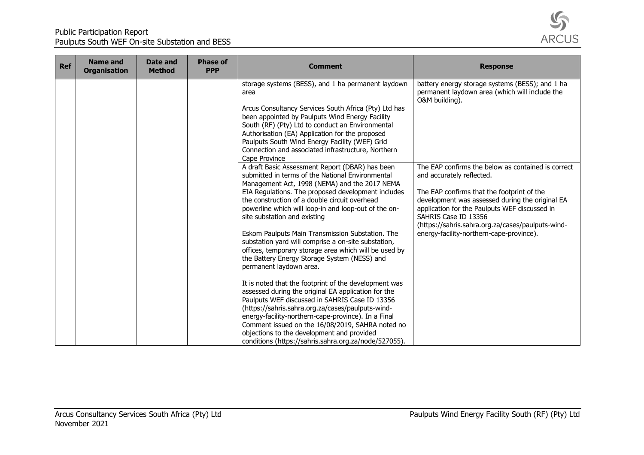

| <b>Ref</b> | <b>Name and</b><br><b>Organisation</b> | Date and<br><b>Method</b> | <b>Phase of</b><br><b>PPP</b> | <b>Comment</b>                                                                                                                                                                                                                                                                                                                                                                                                                        | <b>Response</b>                                                                                                                                                                                                             |
|------------|----------------------------------------|---------------------------|-------------------------------|---------------------------------------------------------------------------------------------------------------------------------------------------------------------------------------------------------------------------------------------------------------------------------------------------------------------------------------------------------------------------------------------------------------------------------------|-----------------------------------------------------------------------------------------------------------------------------------------------------------------------------------------------------------------------------|
|            |                                        |                           |                               | storage systems (BESS), and 1 ha permanent laydown<br>area                                                                                                                                                                                                                                                                                                                                                                            | battery energy storage systems (BESS); and 1 ha<br>permanent laydown area (which will include the<br>O&M building).                                                                                                         |
|            |                                        |                           |                               | Arcus Consultancy Services South Africa (Pty) Ltd has<br>been appointed by Paulputs Wind Energy Facility<br>South (RF) (Pty) Ltd to conduct an Environmental<br>Authorisation (EA) Application for the proposed<br>Paulputs South Wind Energy Facility (WEF) Grid<br>Connection and associated infrastructure, Northern<br>Cape Province                                                                                              |                                                                                                                                                                                                                             |
|            |                                        |                           |                               | A draft Basic Assessment Report (DBAR) has been<br>submitted in terms of the National Environmental<br>Management Act, 1998 (NEMA) and the 2017 NEMA                                                                                                                                                                                                                                                                                  | The EAP confirms the below as contained is correct<br>and accurately reflected.                                                                                                                                             |
|            |                                        |                           |                               | EIA Regulations. The proposed development includes<br>the construction of a double circuit overhead<br>powerline which will loop-in and loop-out of the on-<br>site substation and existing                                                                                                                                                                                                                                           | The EAP confirms that the footprint of the<br>development was assessed during the original EA<br>application for the Paulputs WEF discussed in<br>SAHRIS Case ID 13356<br>(https://sahris.sahra.org.za/cases/paulputs-wind- |
|            |                                        |                           |                               | Eskom Paulputs Main Transmission Substation. The<br>substation yard will comprise a on-site substation,<br>offices, temporary storage area which will be used by<br>the Battery Energy Storage System (NESS) and<br>permanent laydown area.                                                                                                                                                                                           | energy-facility-northern-cape-province).                                                                                                                                                                                    |
|            |                                        |                           |                               | It is noted that the footprint of the development was<br>assessed during the original EA application for the<br>Paulputs WEF discussed in SAHRIS Case ID 13356<br>(https://sahris.sahra.org.za/cases/paulputs-wind-<br>energy-facility-northern-cape-province). In a Final<br>Comment issued on the 16/08/2019, SAHRA noted no<br>objections to the development and provided<br>conditions (https://sahris.sahra.org.za/node/527055). |                                                                                                                                                                                                                             |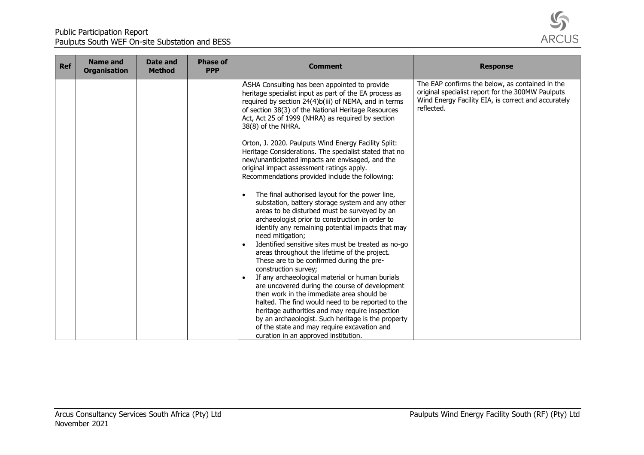

| <b>Ref</b> | <b>Name and</b><br><b>Organisation</b> | Date and<br><b>Method</b> | <b>Phase of</b><br><b>PPP</b> | <b>Comment</b>                                                                                                                                                                                                                                                                                                                                                                                                                                                                                                                                                                                                                                                                                                                                                                                                                                                      | <b>Response</b>                                                                                                                                                           |
|------------|----------------------------------------|---------------------------|-------------------------------|---------------------------------------------------------------------------------------------------------------------------------------------------------------------------------------------------------------------------------------------------------------------------------------------------------------------------------------------------------------------------------------------------------------------------------------------------------------------------------------------------------------------------------------------------------------------------------------------------------------------------------------------------------------------------------------------------------------------------------------------------------------------------------------------------------------------------------------------------------------------|---------------------------------------------------------------------------------------------------------------------------------------------------------------------------|
|            |                                        |                           |                               | ASHA Consulting has been appointed to provide<br>heritage specialist input as part of the EA process as<br>required by section 24(4)b(iii) of NEMA, and in terms<br>of section 38(3) of the National Heritage Resources<br>Act, Act 25 of 1999 (NHRA) as required by section<br>38(8) of the NHRA.                                                                                                                                                                                                                                                                                                                                                                                                                                                                                                                                                                  | The EAP confirms the below, as contained in the<br>original specialist report for the 300MW Paulputs<br>Wind Energy Facility EIA, is correct and accurately<br>reflected. |
|            |                                        |                           |                               | Orton, J. 2020. Paulputs Wind Energy Facility Split:<br>Heritage Considerations. The specialist stated that no<br>new/unanticipated impacts are envisaged, and the<br>original impact assessment ratings apply.<br>Recommendations provided include the following:                                                                                                                                                                                                                                                                                                                                                                                                                                                                                                                                                                                                  |                                                                                                                                                                           |
|            |                                        |                           |                               | The final authorised layout for the power line,<br>substation, battery storage system and any other<br>areas to be disturbed must be surveyed by an<br>archaeologist prior to construction in order to<br>identify any remaining potential impacts that may<br>need mitigation;<br>Identified sensitive sites must be treated as no-go<br>areas throughout the lifetime of the project.<br>These are to be confirmed during the pre-<br>construction survey;<br>If any archaeological material or human burials<br>are uncovered during the course of development<br>then work in the immediate area should be<br>halted. The find would need to be reported to the<br>heritage authorities and may require inspection<br>by an archaeologist. Such heritage is the property<br>of the state and may require excavation and<br>curation in an approved institution. |                                                                                                                                                                           |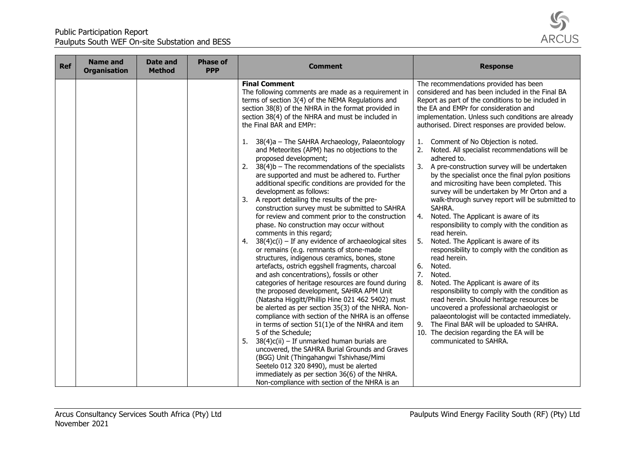

| <b>Ref</b> | <b>Name and</b><br><b>Organisation</b> | Date and<br><b>Method</b> | <b>Phase of</b><br><b>PPP</b> | <b>Comment</b>                                                                                                                                                                                                                                                                                                                                                                                                                                                                   | <b>Response</b>                                                                                                                                                                                                                                                                                                     |
|------------|----------------------------------------|---------------------------|-------------------------------|----------------------------------------------------------------------------------------------------------------------------------------------------------------------------------------------------------------------------------------------------------------------------------------------------------------------------------------------------------------------------------------------------------------------------------------------------------------------------------|---------------------------------------------------------------------------------------------------------------------------------------------------------------------------------------------------------------------------------------------------------------------------------------------------------------------|
|            |                                        |                           |                               | <b>Final Comment</b><br>The following comments are made as a requirement in<br>terms of section 3(4) of the NEMA Regulations and<br>section 38(8) of the NHRA in the format provided in<br>section 38(4) of the NHRA and must be included in<br>the Final BAR and EMPr:                                                                                                                                                                                                          | The recommendations provided has been<br>considered and has been included in the Final BA<br>Report as part of the conditions to be included in<br>the EA and EMPr for consideration and<br>implementation. Unless such conditions are already<br>authorised. Direct responses are provided below.                  |
|            |                                        |                           |                               | 38(4)a - The SAHRA Archaeology, Palaeontology<br>1.<br>and Meteorites (APM) has no objections to the<br>proposed development;<br>$38(4)$ b - The recommendations of the specialists<br>2.<br>are supported and must be adhered to. Further<br>additional specific conditions are provided for the<br>development as follows:                                                                                                                                                     | Comment of No Objection is noted.<br>1.<br>Noted. All specialist recommendations will be<br>2.<br>adhered to.<br>3.<br>A pre-construction survey will be undertaken<br>by the specialist once the final pylon positions<br>and micrositing have been completed. This<br>survey will be undertaken by Mr Orton and a |
|            |                                        |                           |                               | A report detailing the results of the pre-<br>3.<br>construction survey must be submitted to SAHRA<br>for review and comment prior to the construction<br>phase. No construction may occur without<br>comments in this regard;                                                                                                                                                                                                                                                   | walk-through survey report will be submitted to<br>SAHRA.<br>Noted. The Applicant is aware of its<br>4.<br>responsibility to comply with the condition as<br>read herein.                                                                                                                                           |
|            |                                        |                           |                               | $38(4)c(i)$ – If any evidence of archaeological sites<br>4.<br>or remains (e.g. remnants of stone-made<br>structures, indigenous ceramics, bones, stone<br>artefacts, ostrich eggshell fragments, charcoal<br>and ash concentrations), fossils or other<br>categories of heritage resources are found during<br>the proposed development, SAHRA APM Unit<br>(Natasha Higgitt/Phillip Hine 021 462 5402) must                                                                     | 5.<br>Noted. The Applicant is aware of its<br>responsibility to comply with the condition as<br>read herein.<br>6.<br>Noted.<br>7.<br>Noted.<br>8.<br>Noted. The Applicant is aware of its<br>responsibility to comply with the condition as<br>read herein. Should heritage resources be                           |
|            |                                        |                           |                               | be alerted as per section 35(3) of the NHRA. Non-<br>compliance with section of the NHRA is an offense<br>in terms of section $51(1)e$ of the NHRA and item<br>5 of the Schedule;<br>5.<br>$38(4)c(ii) - If unmarked human burials are$<br>uncovered, the SAHRA Burial Grounds and Graves<br>(BGG) Unit (Thingahangwi Tshivhase/Mimi<br>Seetelo 012 320 8490), must be alerted<br>immediately as per section 36(6) of the NHRA.<br>Non-compliance with section of the NHRA is an | uncovered a professional archaeologist or<br>palaeontologist will be contacted immediately.<br>The Final BAR will be uploaded to SAHRA.<br>9.<br>10. The decision regarding the EA will be<br>communicated to SAHRA.                                                                                                |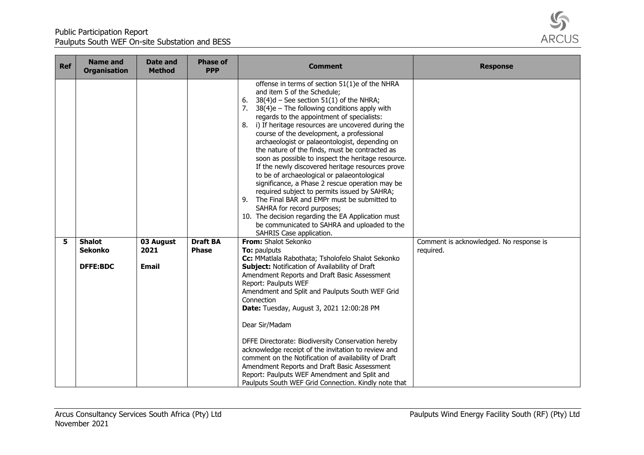

| <b>Ref</b> | <b>Name and</b><br><b>Organisation</b> | Date and<br><b>Method</b> | <b>Phase of</b><br><b>PPP</b>   | <b>Comment</b>                                                                                                                                                                                                                                                                                                                                                                                                                                                                                                                                                                                                                                                                                                                                                                                                                                                                                                                   | <b>Response</b>                                      |
|------------|----------------------------------------|---------------------------|---------------------------------|----------------------------------------------------------------------------------------------------------------------------------------------------------------------------------------------------------------------------------------------------------------------------------------------------------------------------------------------------------------------------------------------------------------------------------------------------------------------------------------------------------------------------------------------------------------------------------------------------------------------------------------------------------------------------------------------------------------------------------------------------------------------------------------------------------------------------------------------------------------------------------------------------------------------------------|------------------------------------------------------|
|            |                                        |                           |                                 | offense in terms of section 51(1)e of the NHRA<br>and item 5 of the Schedule;<br>$38(4)d$ – See section 51(1) of the NHRA;<br>6.<br>$38(4)e$ – The following conditions apply with<br>7.<br>regards to the appointment of specialists:<br>i) If heritage resources are uncovered during the<br>8.<br>course of the development, a professional<br>archaeologist or palaeontologist, depending on<br>the nature of the finds, must be contracted as<br>soon as possible to inspect the heritage resource.<br>If the newly discovered heritage resources prove<br>to be of archaeological or palaeontological<br>significance, a Phase 2 rescue operation may be<br>required subject to permits issued by SAHRA;<br>9. The Final BAR and EMPr must be submitted to<br>SAHRA for record purposes;<br>10. The decision regarding the EA Application must<br>be communicated to SAHRA and uploaded to the<br>SAHRIS Case application. |                                                      |
| 5          | <b>Shalot</b><br><b>Sekonko</b>        | 03 August<br>2021         | <b>Draft BA</b><br><b>Phase</b> | From: Shalot Sekonko<br>To: paulputs                                                                                                                                                                                                                                                                                                                                                                                                                                                                                                                                                                                                                                                                                                                                                                                                                                                                                             | Comment is acknowledged. No response is<br>required. |
|            |                                        |                           |                                 | Cc: MMatlala Rabothata; Tsholofelo Shalot Sekonko                                                                                                                                                                                                                                                                                                                                                                                                                                                                                                                                                                                                                                                                                                                                                                                                                                                                                |                                                      |
|            | <b>DFFE:BDC</b>                        | <b>Email</b>              |                                 | <b>Subject: Notification of Availability of Draft</b><br>Amendment Reports and Draft Basic Assessment<br>Report: Paulputs WEF<br>Amendment and Split and Paulputs South WEF Grid<br>Connection<br>Date: Tuesday, August 3, 2021 12:00:28 PM                                                                                                                                                                                                                                                                                                                                                                                                                                                                                                                                                                                                                                                                                      |                                                      |
|            |                                        |                           |                                 | Dear Sir/Madam                                                                                                                                                                                                                                                                                                                                                                                                                                                                                                                                                                                                                                                                                                                                                                                                                                                                                                                   |                                                      |
|            |                                        |                           |                                 | DFFE Directorate: Biodiversity Conservation hereby<br>acknowledge receipt of the invitation to review and<br>comment on the Notification of availability of Draft<br>Amendment Reports and Draft Basic Assessment<br>Report: Paulputs WEF Amendment and Split and<br>Paulputs South WEF Grid Connection. Kindly note that                                                                                                                                                                                                                                                                                                                                                                                                                                                                                                                                                                                                        |                                                      |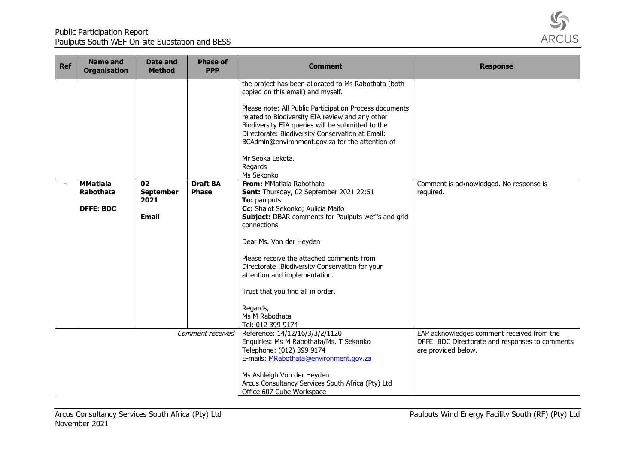

| <b>Ref</b>     | <b>Name and</b><br><b>Organisation</b>                  | Date and<br><b>Method</b>                      | <b>Phase of</b><br><b>PPP</b>   | <b>Comment</b>                                                                                                                                                                                                                                                                                                                                                                                                                                                                                                                                                                                                                                                                                                                                                                                                                                                          | <b>Response</b>                                                                                                      |
|----------------|---------------------------------------------------------|------------------------------------------------|---------------------------------|-------------------------------------------------------------------------------------------------------------------------------------------------------------------------------------------------------------------------------------------------------------------------------------------------------------------------------------------------------------------------------------------------------------------------------------------------------------------------------------------------------------------------------------------------------------------------------------------------------------------------------------------------------------------------------------------------------------------------------------------------------------------------------------------------------------------------------------------------------------------------|----------------------------------------------------------------------------------------------------------------------|
| $\blacksquare$ | <b>MMatlala</b><br><b>Rabothata</b><br><b>DFFE: BDC</b> | 02<br><b>September</b><br>2021<br><b>Email</b> | <b>Draft BA</b><br><b>Phase</b> | the project has been allocated to Ms Rabothata (both<br>copied on this email) and myself.<br>Please note: All Public Participation Process documents<br>related to Biodiversity EIA review and any other<br>Biodiversity EIA queries will be submitted to the<br>Directorate: Biodiversity Conservation at Email:<br>BCAdmin@environment.gov.za for the attention of<br>Mr Seoka Lekota.<br>Regards<br>Ms Sekonko<br>From: MMatlala Rabothata<br>Sent: Thursday, 02 September 2021 22:51<br>To: paulputs<br>Cc: Shalot Sekonko; Aulicia Maifo<br>Subject: DBAR comments for Paulputs wef"s and grid<br>connections<br>Dear Ms. Von der Heyden<br>Please receive the attached comments from<br>Directorate : Biodiversity Conservation for your<br>attention and implementation.<br>Trust that you find all in order.<br>Regards,<br>Ms M Rabothata<br>Tel: 012 399 9174 | Comment is acknowledged. No response is<br>required.                                                                 |
|                |                                                         |                                                | Comment received                | Reference: 14/12/16/3/3/2/1120<br>Enquiries: Ms M Rabothata/Ms. T Sekonko<br>Telephone: (012) 399 9174<br>E-mails: MRabothata@environment.gov.za<br>Ms Ashleigh Von der Heyden<br>Arcus Consultancy Services South Africa (Pty) Ltd<br>Office 607 Cube Workspace                                                                                                                                                                                                                                                                                                                                                                                                                                                                                                                                                                                                        | EAP acknowledges comment received from the<br>DFFE: BDC Directorate and responses to comments<br>are provided below. |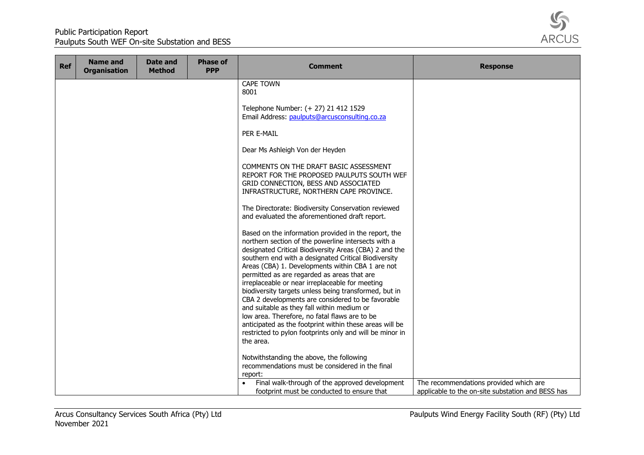

| <b>Ref</b> | <b>Name and</b><br><b>Organisation</b> | Date and<br><b>Method</b> | <b>Phase of</b><br><b>PPP</b> | <b>Comment</b>                                                                                                                                                                                                                                                                                                                                                                                                                                                                                                                                                                                                                                                                                                                                                                   | <b>Response</b>                                                                             |
|------------|----------------------------------------|---------------------------|-------------------------------|----------------------------------------------------------------------------------------------------------------------------------------------------------------------------------------------------------------------------------------------------------------------------------------------------------------------------------------------------------------------------------------------------------------------------------------------------------------------------------------------------------------------------------------------------------------------------------------------------------------------------------------------------------------------------------------------------------------------------------------------------------------------------------|---------------------------------------------------------------------------------------------|
|            |                                        |                           |                               | <b>CAPE TOWN</b><br>8001                                                                                                                                                                                                                                                                                                                                                                                                                                                                                                                                                                                                                                                                                                                                                         |                                                                                             |
|            |                                        |                           |                               | Telephone Number: (+ 27) 21 412 1529<br>Email Address: paulputs@arcusconsulting.co.za                                                                                                                                                                                                                                                                                                                                                                                                                                                                                                                                                                                                                                                                                            |                                                                                             |
|            |                                        |                           |                               | PER E-MAIL                                                                                                                                                                                                                                                                                                                                                                                                                                                                                                                                                                                                                                                                                                                                                                       |                                                                                             |
|            |                                        |                           |                               | Dear Ms Ashleigh Von der Heyden                                                                                                                                                                                                                                                                                                                                                                                                                                                                                                                                                                                                                                                                                                                                                  |                                                                                             |
|            |                                        |                           |                               | COMMENTS ON THE DRAFT BASIC ASSESSMENT<br>REPORT FOR THE PROPOSED PAULPUTS SOUTH WEF<br>GRID CONNECTION, BESS AND ASSOCIATED<br>INFRASTRUCTURE, NORTHERN CAPE PROVINCE.                                                                                                                                                                                                                                                                                                                                                                                                                                                                                                                                                                                                          |                                                                                             |
|            |                                        |                           |                               | The Directorate: Biodiversity Conservation reviewed<br>and evaluated the aforementioned draft report.                                                                                                                                                                                                                                                                                                                                                                                                                                                                                                                                                                                                                                                                            |                                                                                             |
|            |                                        |                           |                               | Based on the information provided in the report, the<br>northern section of the powerline intersects with a<br>designated Critical Biodiversity Areas (CBA) 2 and the<br>southern end with a designated Critical Biodiversity<br>Areas (CBA) 1. Developments within CBA 1 are not<br>permitted as are regarded as areas that are<br>irreplaceable or near irreplaceable for meeting<br>biodiversity targets unless being transformed, but in<br>CBA 2 developments are considered to be favorable<br>and suitable as they fall within medium or<br>low area. Therefore, no fatal flaws are to be<br>anticipated as the footprint within these areas will be<br>restricted to pylon footprints only and will be minor in<br>the area.<br>Notwithstanding the above, the following |                                                                                             |
|            |                                        |                           |                               | recommendations must be considered in the final<br>report:                                                                                                                                                                                                                                                                                                                                                                                                                                                                                                                                                                                                                                                                                                                       |                                                                                             |
|            |                                        |                           |                               | Final walk-through of the approved development<br>footprint must be conducted to ensure that                                                                                                                                                                                                                                                                                                                                                                                                                                                                                                                                                                                                                                                                                     | The recommendations provided which are<br>applicable to the on-site substation and BESS has |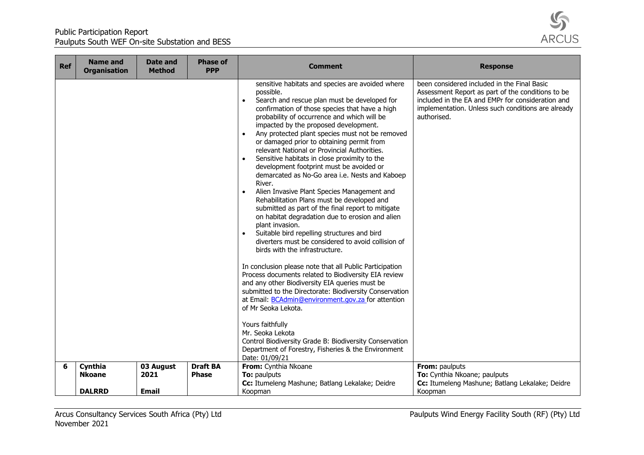

| <b>Ref</b> | <b>Name and</b><br><b>Organisation</b> | <b>Date and</b><br><b>Method</b> | <b>Phase of</b><br><b>PPP</b> | <b>Comment</b>                                                                                                                                                                                                                                                                                                                                                                                                                                                                                                                                                                                                                                                                                                                                                                                                                                                                                                                                                                                                                                                                                                                                                                                                                                                                                                                                                                                                                                                                           | <b>Response</b>                                                                                                                                                                                                            |
|------------|----------------------------------------|----------------------------------|-------------------------------|------------------------------------------------------------------------------------------------------------------------------------------------------------------------------------------------------------------------------------------------------------------------------------------------------------------------------------------------------------------------------------------------------------------------------------------------------------------------------------------------------------------------------------------------------------------------------------------------------------------------------------------------------------------------------------------------------------------------------------------------------------------------------------------------------------------------------------------------------------------------------------------------------------------------------------------------------------------------------------------------------------------------------------------------------------------------------------------------------------------------------------------------------------------------------------------------------------------------------------------------------------------------------------------------------------------------------------------------------------------------------------------------------------------------------------------------------------------------------------------|----------------------------------------------------------------------------------------------------------------------------------------------------------------------------------------------------------------------------|
|            |                                        |                                  |                               | sensitive habitats and species are avoided where<br>possible.<br>Search and rescue plan must be developed for<br>$\bullet$<br>confirmation of those species that have a high<br>probability of occurrence and which will be<br>impacted by the proposed development.<br>Any protected plant species must not be removed<br>$\bullet$<br>or damaged prior to obtaining permit from<br>relevant National or Provincial Authorities.<br>Sensitive habitats in close proximity to the<br>$\bullet$<br>development footprint must be avoided or<br>demarcated as No-Go area i.e. Nests and Kaboep<br>River.<br>Alien Invasive Plant Species Management and<br>$\bullet$<br>Rehabilitation Plans must be developed and<br>submitted as part of the final report to mitigate<br>on habitat degradation due to erosion and alien<br>plant invasion.<br>Suitable bird repelling structures and bird<br>$\bullet$<br>diverters must be considered to avoid collision of<br>birds with the infrastructure.<br>In conclusion please note that all Public Participation<br>Process documents related to Biodiversity EIA review<br>and any other Biodiversity EIA queries must be<br>submitted to the Directorate: Biodiversity Conservation<br>at Email: BCAdmin@environment.gov.za for attention<br>of Mr Seoka Lekota.<br>Yours faithfully<br>Mr. Seoka Lekota<br>Control Biodiversity Grade B: Biodiversity Conservation<br>Department of Forestry, Fisheries & the Environment<br>Date: 01/09/21 | been considered included in the Final Basic<br>Assessment Report as part of the conditions to be<br>included in the EA and EMPr for consideration and<br>implementation. Unless such conditions are already<br>authorised. |
| 6          | Cynthia                                | 03 August                        | <b>Draft BA</b>               | From: Cynthia Nkoane                                                                                                                                                                                                                                                                                                                                                                                                                                                                                                                                                                                                                                                                                                                                                                                                                                                                                                                                                                                                                                                                                                                                                                                                                                                                                                                                                                                                                                                                     | From: paulputs                                                                                                                                                                                                             |
|            | <b>Nkoane</b>                          | 2021                             | <b>Phase</b>                  | To: paulputs                                                                                                                                                                                                                                                                                                                                                                                                                                                                                                                                                                                                                                                                                                                                                                                                                                                                                                                                                                                                                                                                                                                                                                                                                                                                                                                                                                                                                                                                             | To: Cynthia Nkoane; paulputs                                                                                                                                                                                               |
|            |                                        |                                  |                               | Cc: Itumeleng Mashune; Batlang Lekalake; Deidre                                                                                                                                                                                                                                                                                                                                                                                                                                                                                                                                                                                                                                                                                                                                                                                                                                                                                                                                                                                                                                                                                                                                                                                                                                                                                                                                                                                                                                          | Cc: Itumeleng Mashune; Batlang Lekalake; Deidre                                                                                                                                                                            |
|            | <b>DALRRD</b>                          | <b>Email</b>                     |                               | Koopman                                                                                                                                                                                                                                                                                                                                                                                                                                                                                                                                                                                                                                                                                                                                                                                                                                                                                                                                                                                                                                                                                                                                                                                                                                                                                                                                                                                                                                                                                  | Koopman                                                                                                                                                                                                                    |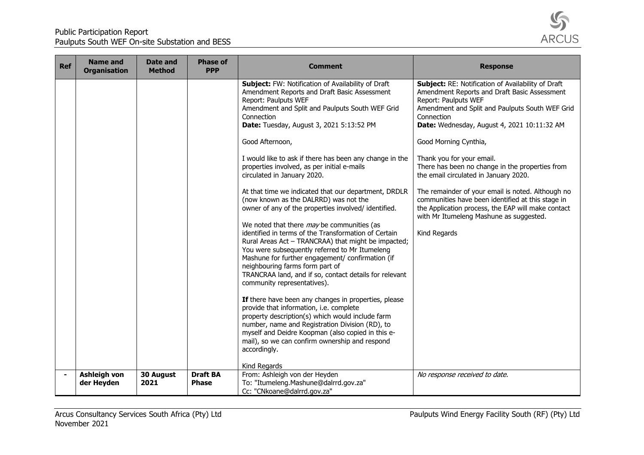

| <b>Ref</b>     | <b>Name and</b><br><b>Organisation</b> | Date and<br><b>Method</b> | <b>Phase of</b><br><b>PPP</b>   | <b>Comment</b>                                                                                                                                                                                                                                                                                                                                                                                                                                                                                                                                                                                                                                                                                                                                                                                                                                                                                                                                                                                                                                                                                                                                                                                                                                                                                               | <b>Response</b>                                                                                                                                                                                                                                                                                                                                                                                                                                                                                                                                                                                                         |
|----------------|----------------------------------------|---------------------------|---------------------------------|--------------------------------------------------------------------------------------------------------------------------------------------------------------------------------------------------------------------------------------------------------------------------------------------------------------------------------------------------------------------------------------------------------------------------------------------------------------------------------------------------------------------------------------------------------------------------------------------------------------------------------------------------------------------------------------------------------------------------------------------------------------------------------------------------------------------------------------------------------------------------------------------------------------------------------------------------------------------------------------------------------------------------------------------------------------------------------------------------------------------------------------------------------------------------------------------------------------------------------------------------------------------------------------------------------------|-------------------------------------------------------------------------------------------------------------------------------------------------------------------------------------------------------------------------------------------------------------------------------------------------------------------------------------------------------------------------------------------------------------------------------------------------------------------------------------------------------------------------------------------------------------------------------------------------------------------------|
|                |                                        |                           |                                 | Subject: FW: Notification of Availability of Draft<br>Amendment Reports and Draft Basic Assessment<br>Report: Paulputs WEF<br>Amendment and Split and Paulputs South WEF Grid<br>Connection<br>Date: Tuesday, August 3, 2021 5:13:52 PM<br>Good Afternoon,<br>I would like to ask if there has been any change in the<br>properties involved, as per initial e-mails<br>circulated in January 2020.<br>At that time we indicated that our department, DRDLR<br>(now known as the DALRRD) was not the<br>owner of any of the properties involved/ identified.<br>We noted that there may be communities (as<br>identified in terms of the Transformation of Certain<br>Rural Areas Act - TRANCRAA) that might be impacted;<br>You were subsequently referred to Mr Itumeleng<br>Mashune for further engagement/ confirmation (if<br>neighbouring farms form part of<br>TRANCRAA land, and if so, contact details for relevant<br>community representatives).<br>If there have been any changes in properties, please<br>provide that information, i.e. complete<br>property description(s) which would include farm<br>number, name and Registration Division (RD), to<br>myself and Deidre Koopman (also copied in this e-<br>mail), so we can confirm ownership and respond<br>accordingly.<br>Kind Regards | Subject: RE: Notification of Availability of Draft<br>Amendment Reports and Draft Basic Assessment<br>Report: Paulputs WEF<br>Amendment and Split and Paulputs South WEF Grid<br>Connection<br>Date: Wednesday, August 4, 2021 10:11:32 AM<br>Good Morning Cynthia,<br>Thank you for your email.<br>There has been no change in the properties from<br>the email circulated in January 2020.<br>The remainder of your email is noted. Although no<br>communities have been identified at this stage in<br>the Application process, the EAP will make contact<br>with Mr Itumeleng Mashune as suggested.<br>Kind Regards |
| $\blacksquare$ | <b>Ashleigh von</b><br>der Heyden      | 30 August<br>2021         | <b>Draft BA</b><br><b>Phase</b> | From: Ashleigh von der Heyden<br>To: "Itumeleng.Mashune@dalrrd.gov.za"<br>Cc: "CNkoane@dalrrd.gov.za"                                                                                                                                                                                                                                                                                                                                                                                                                                                                                                                                                                                                                                                                                                                                                                                                                                                                                                                                                                                                                                                                                                                                                                                                        | No response received to date.                                                                                                                                                                                                                                                                                                                                                                                                                                                                                                                                                                                           |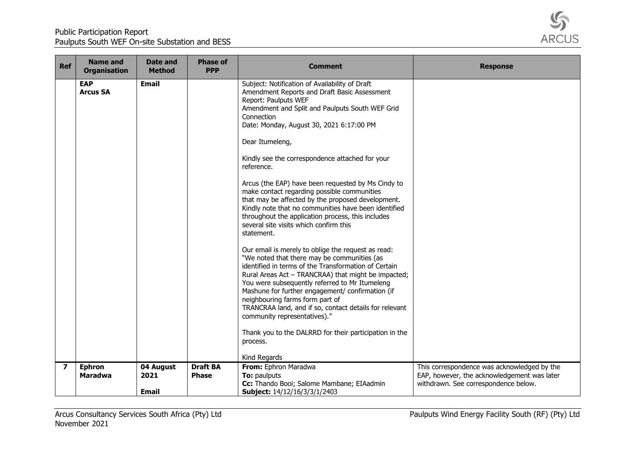

| <b>Ref</b>       | <b>Name and</b><br><b>Organisation</b> | Date and<br><b>Method</b> | <b>Phase of</b><br><b>PPP</b>   | <b>Comment</b>                                                                                                                                                                                                                                                                                                                                                                                                                                                                                                                                                                                                                                                                                                                                                                                                                                                                                                                                                                                                                                                                                                                                                                                      | <b>Response</b>                                                                            |
|------------------|----------------------------------------|---------------------------|---------------------------------|-----------------------------------------------------------------------------------------------------------------------------------------------------------------------------------------------------------------------------------------------------------------------------------------------------------------------------------------------------------------------------------------------------------------------------------------------------------------------------------------------------------------------------------------------------------------------------------------------------------------------------------------------------------------------------------------------------------------------------------------------------------------------------------------------------------------------------------------------------------------------------------------------------------------------------------------------------------------------------------------------------------------------------------------------------------------------------------------------------------------------------------------------------------------------------------------------------|--------------------------------------------------------------------------------------------|
|                  | <b>EAP</b><br><b>Arcus SA</b>          | <b>Email</b>              |                                 | Subject: Notification of Availability of Draft<br>Amendment Reports and Draft Basic Assessment<br>Report: Paulputs WEF<br>Amendment and Split and Paulputs South WEF Grid<br>Connection<br>Date: Monday, August 30, 2021 6:17:00 PM<br>Dear Itumeleng,<br>Kindly see the correspondence attached for your<br>reference.<br>Arcus (the EAP) have been requested by Ms Cindy to<br>make contact regarding possible communities<br>that may be affected by the proposed development.<br>Kindly note that no communities have been identified<br>throughout the application process, this includes<br>several site visits which confirm this<br>statement.<br>Our email is merely to oblige the request as read:<br>"We noted that there may be communities (as<br>identified in terms of the Transformation of Certain<br>Rural Areas Act - TRANCRAA) that might be impacted;<br>You were subsequently referred to Mr Itumeleng<br>Mashune for further engagement/ confirmation (if<br>neighbouring farms form part of<br>TRANCRAA land, and if so, contact details for relevant<br>community representatives)."<br>Thank you to the DALRRD for their participation in the<br>process.<br>Kind Regards |                                                                                            |
| $\boldsymbol{7}$ | <b>Ephron</b><br><b>Maradwa</b>        | 04 August<br>2021         | <b>Draft BA</b><br><b>Phase</b> | From: Ephron Maradwa<br>To: paulputs                                                                                                                                                                                                                                                                                                                                                                                                                                                                                                                                                                                                                                                                                                                                                                                                                                                                                                                                                                                                                                                                                                                                                                | This correspondence was acknowledged by the<br>EAP, however, the acknowledgement was later |
|                  |                                        | <b>Email</b>              |                                 | Cc: Thando Booi; Salome Mambane; EIAadmin<br>Subject: 14/12/16/3/3/1/2403                                                                                                                                                                                                                                                                                                                                                                                                                                                                                                                                                                                                                                                                                                                                                                                                                                                                                                                                                                                                                                                                                                                           | withdrawn. See correspondence below.                                                       |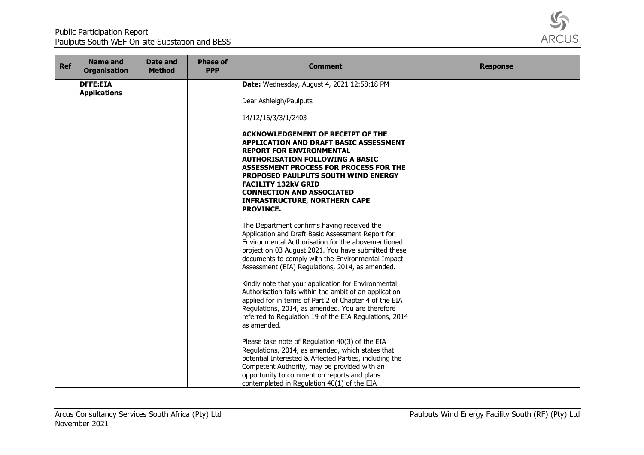

| Ref | <b>Name and</b><br><b>Organisation</b> | Date and<br><b>Method</b> | <b>Phase of</b><br><b>PPP</b> | <b>Comment</b>                                                                                                                                                                                                                                                                                                                                                                        | <b>Response</b> |
|-----|----------------------------------------|---------------------------|-------------------------------|---------------------------------------------------------------------------------------------------------------------------------------------------------------------------------------------------------------------------------------------------------------------------------------------------------------------------------------------------------------------------------------|-----------------|
|     | <b>DFFE:EIA</b><br><b>Applications</b> |                           |                               | Date: Wednesday, August 4, 2021 12:58:18 PM                                                                                                                                                                                                                                                                                                                                           |                 |
|     |                                        |                           |                               | Dear Ashleigh/Paulputs                                                                                                                                                                                                                                                                                                                                                                |                 |
|     |                                        |                           |                               | 14/12/16/3/3/1/2403                                                                                                                                                                                                                                                                                                                                                                   |                 |
|     |                                        |                           |                               | <b>ACKNOWLEDGEMENT OF RECEIPT OF THE</b><br>APPLICATION AND DRAFT BASIC ASSESSMENT<br><b>REPORT FOR ENVIRONMENTAL</b><br><b>AUTHORISATION FOLLOWING A BASIC</b><br>ASSESSMENT PROCESS FOR PROCESS FOR THE<br><b>PROPOSED PAULPUTS SOUTH WIND ENERGY</b><br><b>FACILITY 132kV GRID</b><br><b>CONNECTION AND ASSOCIATED</b><br><b>INFRASTRUCTURE, NORTHERN CAPE</b><br><b>PROVINCE.</b> |                 |
|     |                                        |                           |                               | The Department confirms having received the<br>Application and Draft Basic Assessment Report for<br>Environmental Authorisation for the abovementioned<br>project on 03 August 2021. You have submitted these<br>documents to comply with the Environmental Impact<br>Assessment (EIA) Regulations, 2014, as amended.                                                                 |                 |
|     |                                        |                           |                               | Kindly note that your application for Environmental<br>Authorisation falls within the ambit of an application<br>applied for in terms of Part 2 of Chapter 4 of the EIA<br>Regulations, 2014, as amended. You are therefore<br>referred to Regulation 19 of the EIA Regulations, 2014<br>as amended.                                                                                  |                 |
|     |                                        |                           |                               | Please take note of Regulation 40(3) of the EIA<br>Regulations, 2014, as amended, which states that<br>potential Interested & Affected Parties, including the<br>Competent Authority, may be provided with an<br>opportunity to comment on reports and plans<br>contemplated in Regulation 40(1) of the EIA                                                                           |                 |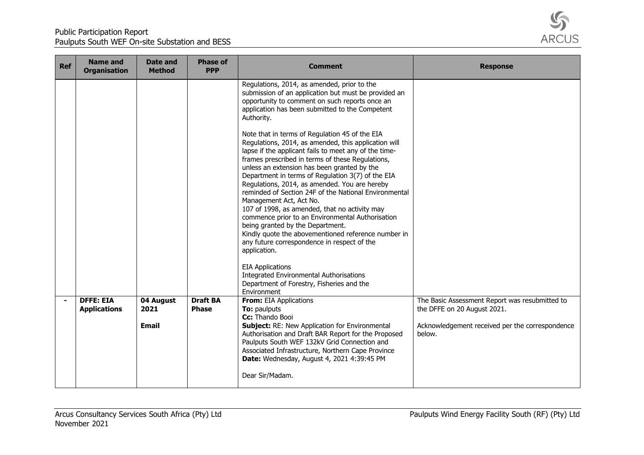

| <b>Ref</b>     | <b>Name and</b><br><b>Organisation</b> | Date and<br><b>Method</b> | <b>Phase of</b><br><b>PPP</b> | <b>Comment</b>                                                                                                                                                                                                                                                                                                                                                                                                                                                                                                                                                                                                                                                                                                                                                                                                                                                                         | <b>Response</b>                                 |
|----------------|----------------------------------------|---------------------------|-------------------------------|----------------------------------------------------------------------------------------------------------------------------------------------------------------------------------------------------------------------------------------------------------------------------------------------------------------------------------------------------------------------------------------------------------------------------------------------------------------------------------------------------------------------------------------------------------------------------------------------------------------------------------------------------------------------------------------------------------------------------------------------------------------------------------------------------------------------------------------------------------------------------------------|-------------------------------------------------|
|                |                                        |                           |                               | Regulations, 2014, as amended, prior to the<br>submission of an application but must be provided an<br>opportunity to comment on such reports once an<br>application has been submitted to the Competent<br>Authority.<br>Note that in terms of Regulation 45 of the EIA<br>Regulations, 2014, as amended, this application will<br>lapse if the applicant fails to meet any of the time-<br>frames prescribed in terms of these Regulations,<br>unless an extension has been granted by the<br>Department in terms of Regulation 3(7) of the EIA<br>Regulations, 2014, as amended. You are hereby<br>reminded of Section 24F of the National Environmental<br>Management Act, Act No.<br>107 of 1998, as amended, that no activity may<br>commence prior to an Environmental Authorisation<br>being granted by the Department.<br>Kindly quote the abovementioned reference number in |                                                 |
|                |                                        |                           |                               | any future correspondence in respect of the<br>application.<br><b>EIA Applications</b>                                                                                                                                                                                                                                                                                                                                                                                                                                                                                                                                                                                                                                                                                                                                                                                                 |                                                 |
|                |                                        |                           |                               | <b>Integrated Environmental Authorisations</b><br>Department of Forestry, Fisheries and the<br>Environment                                                                                                                                                                                                                                                                                                                                                                                                                                                                                                                                                                                                                                                                                                                                                                             |                                                 |
| $\blacksquare$ | <b>DFFE: EIA</b>                       | 04 August                 | <b>Draft BA</b>               | From: EIA Applications                                                                                                                                                                                                                                                                                                                                                                                                                                                                                                                                                                                                                                                                                                                                                                                                                                                                 | The Basic Assessment Report was resubmitted to  |
|                | <b>Applications</b>                    | 2021                      | <b>Phase</b>                  | <b>To:</b> paulputs                                                                                                                                                                                                                                                                                                                                                                                                                                                                                                                                                                                                                                                                                                                                                                                                                                                                    | the DFFE on 20 August 2021.                     |
|                |                                        | <b>Email</b>              |                               | Cc: Thando Booi<br><b>Subject:</b> RE: New Application for Environmental                                                                                                                                                                                                                                                                                                                                                                                                                                                                                                                                                                                                                                                                                                                                                                                                               | Acknowledgement received per the correspondence |
|                |                                        |                           |                               | Authorisation and Draft BAR Report for the Proposed<br>Paulputs South WEF 132kV Grid Connection and<br>Associated Infrastructure, Northern Cape Province<br>Date: Wednesday, August 4, 2021 4:39:45 PM<br>Dear Sir/Madam.                                                                                                                                                                                                                                                                                                                                                                                                                                                                                                                                                                                                                                                              | below.                                          |
|                |                                        |                           |                               |                                                                                                                                                                                                                                                                                                                                                                                                                                                                                                                                                                                                                                                                                                                                                                                                                                                                                        |                                                 |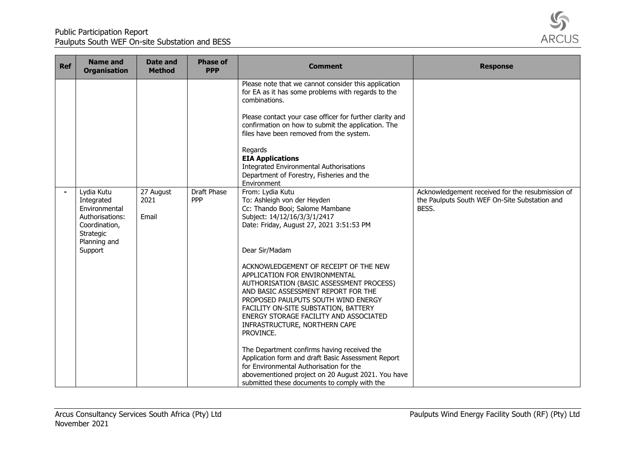

| <b>Ref</b> | <b>Name and</b><br><b>Organisation</b>                                                                                | <b>Date and</b><br><b>Method</b> | <b>Phase of</b><br><b>PPP</b> | <b>Comment</b>                                                                                                                                                                                                                                                                                                                                                                                                                                                                                                                                                                                                                                                                                                                                                             | <b>Response</b>                                                                                            |
|------------|-----------------------------------------------------------------------------------------------------------------------|----------------------------------|-------------------------------|----------------------------------------------------------------------------------------------------------------------------------------------------------------------------------------------------------------------------------------------------------------------------------------------------------------------------------------------------------------------------------------------------------------------------------------------------------------------------------------------------------------------------------------------------------------------------------------------------------------------------------------------------------------------------------------------------------------------------------------------------------------------------|------------------------------------------------------------------------------------------------------------|
|            |                                                                                                                       |                                  |                               | Please note that we cannot consider this application<br>for EA as it has some problems with regards to the<br>combinations.<br>Please contact your case officer for further clarity and<br>confirmation on how to submit the application. The<br>files have been removed from the system.<br>Regards<br><b>EIA Applications</b><br><b>Integrated Environmental Authorisations</b><br>Department of Forestry, Fisheries and the<br>Environment                                                                                                                                                                                                                                                                                                                              |                                                                                                            |
|            | Lydia Kutu<br>Integrated<br>Environmental<br>Authorisations:<br>Coordination,<br>Strategic<br>Planning and<br>Support | 27 August<br>2021<br>Email       | Draft Phase<br><b>PPP</b>     | From: Lydia Kutu<br>To: Ashleigh von der Heyden<br>Cc: Thando Booi; Salome Mambane<br>Subject: 14/12/16/3/3/1/2417<br>Date: Friday, August 27, 2021 3:51:53 PM<br>Dear Sir/Madam<br>ACKNOWLEDGEMENT OF RECEIPT OF THE NEW<br>APPLICATION FOR ENVIRONMENTAL<br>AUTHORISATION (BASIC ASSESSMENT PROCESS)<br>AND BASIC ASSESSMENT REPORT FOR THE<br>PROPOSED PAULPUTS SOUTH WIND ENERGY<br>FACILITY ON-SITE SUBSTATION, BATTERY<br>ENERGY STORAGE FACILITY AND ASSOCIATED<br>INFRASTRUCTURE, NORTHERN CAPE<br>PROVINCE.<br>The Department confirms having received the<br>Application form and draft Basic Assessment Report<br>for Environmental Authorisation for the<br>abovementioned project on 20 August 2021. You have<br>submitted these documents to comply with the | Acknowledgement received for the resubmission of<br>the Paulputs South WEF On-Site Substation and<br>BESS. |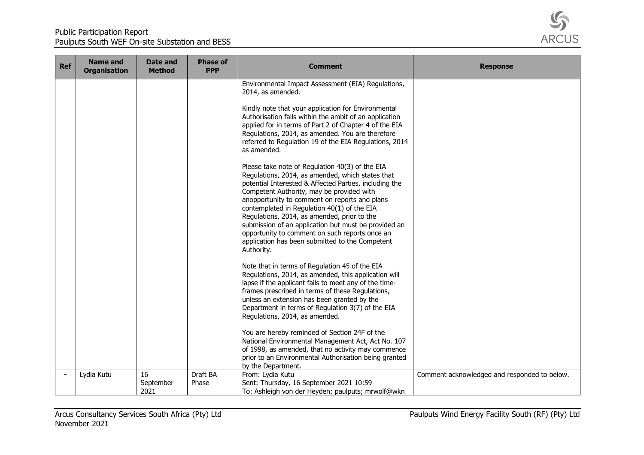

| Ref | <b>Name and</b><br><b>Organisation</b> | <b>Date and</b><br><b>Method</b> | <b>Phase of</b><br><b>PPP</b> | <b>Comment</b>                                                                                                                                                                                                                                                                                                                                                                                                                                                                                                                       | <b>Response</b>                              |
|-----|----------------------------------------|----------------------------------|-------------------------------|--------------------------------------------------------------------------------------------------------------------------------------------------------------------------------------------------------------------------------------------------------------------------------------------------------------------------------------------------------------------------------------------------------------------------------------------------------------------------------------------------------------------------------------|----------------------------------------------|
|     |                                        |                                  |                               | Environmental Impact Assessment (EIA) Regulations,<br>2014, as amended.                                                                                                                                                                                                                                                                                                                                                                                                                                                              |                                              |
|     |                                        |                                  |                               | Kindly note that your application for Environmental<br>Authorisation falls within the ambit of an application<br>applied for in terms of Part 2 of Chapter 4 of the EIA<br>Regulations, 2014, as amended. You are therefore<br>referred to Regulation 19 of the EIA Regulations, 2014<br>as amended.                                                                                                                                                                                                                                 |                                              |
|     |                                        |                                  |                               | Please take note of Regulation 40(3) of the EIA<br>Regulations, 2014, as amended, which states that<br>potential Interested & Affected Parties, including the<br>Competent Authority, may be provided with<br>anopportunity to comment on reports and plans<br>contemplated in Regulation 40(1) of the EIA<br>Regulations, 2014, as amended, prior to the<br>submission of an application but must be provided an<br>opportunity to comment on such reports once an<br>application has been submitted to the Competent<br>Authority. |                                              |
|     |                                        |                                  |                               | Note that in terms of Regulation 45 of the EIA<br>Regulations, 2014, as amended, this application will<br>lapse if the applicant fails to meet any of the time-<br>frames prescribed in terms of these Regulations,<br>unless an extension has been granted by the<br>Department in terms of Regulation 3(7) of the EIA<br>Regulations, 2014, as amended.                                                                                                                                                                            |                                              |
|     |                                        |                                  |                               | You are hereby reminded of Section 24F of the<br>National Environmental Management Act, Act No. 107<br>of 1998, as amended, that no activity may commence<br>prior to an Environmental Authorisation being granted<br>by the Department.                                                                                                                                                                                                                                                                                             |                                              |
|     | Lydia Kutu                             | 16<br>September<br>2021          | Draft BA<br>Phase             | From: Lydia Kutu<br>Sent: Thursday, 16 September 2021 10:59<br>To: Ashleigh von der Heyden; paulputs; mrwolf@wkn                                                                                                                                                                                                                                                                                                                                                                                                                     | Comment acknowledged and responded to below. |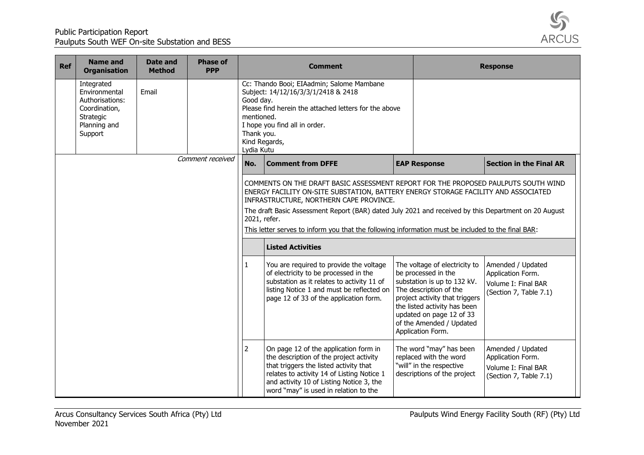

| <b>Ref</b> | <b>Name and</b><br><b>Organisation</b>                                                                  | Date and<br><b>Method</b> | <b>Phase of</b><br><b>PPP</b> |                                                                      | <b>Comment</b>                                                                                                                                                                                                                                                                                                                                                                                                                                                |                                                                                                                                                                                                                                                              | <b>Response</b>                                                                         |
|------------|---------------------------------------------------------------------------------------------------------|---------------------------|-------------------------------|----------------------------------------------------------------------|---------------------------------------------------------------------------------------------------------------------------------------------------------------------------------------------------------------------------------------------------------------------------------------------------------------------------------------------------------------------------------------------------------------------------------------------------------------|--------------------------------------------------------------------------------------------------------------------------------------------------------------------------------------------------------------------------------------------------------------|-----------------------------------------------------------------------------------------|
|            | Integrated<br>Environmental<br>Authorisations:<br>Coordination,<br>Strategic<br>Planning and<br>Support | Email                     |                               | Good day.<br>mentioned.<br>Thank you.<br>Kind Regards,<br>Lydia Kutu | Cc: Thando Booi; EIAadmin; Salome Mambane<br>Subject: 14/12/16/3/3/1/2418 & 2418<br>Please find herein the attached letters for the above<br>I hope you find all in order.                                                                                                                                                                                                                                                                                    |                                                                                                                                                                                                                                                              |                                                                                         |
|            |                                                                                                         |                           | Comment received              | No.                                                                  | <b>Comment from DFFE</b>                                                                                                                                                                                                                                                                                                                                                                                                                                      | <b>EAP Response</b>                                                                                                                                                                                                                                          | <b>Section in the Final AR</b>                                                          |
|            |                                                                                                         |                           |                               | 2021, refer.                                                         | COMMENTS ON THE DRAFT BASIC ASSESSMENT REPORT FOR THE PROPOSED PAULPUTS SOUTH WIND<br>ENERGY FACILITY ON-SITE SUBSTATION, BATTERY ENERGY STORAGE FACILITY AND ASSOCIATED<br>INFRASTRUCTURE, NORTHERN CAPE PROVINCE.<br>The draft Basic Assessment Report (BAR) dated July 2021 and received by this Department on 20 August<br>This letter serves to inform you that the following information must be included to the final BAR:<br><b>Listed Activities</b> |                                                                                                                                                                                                                                                              |                                                                                         |
|            |                                                                                                         |                           |                               |                                                                      | You are required to provide the voltage<br>of electricity to be processed in the<br>substation as it relates to activity 11 of<br>listing Notice 1 and must be reflected on<br>page 12 of 33 of the application form.                                                                                                                                                                                                                                         | The voltage of electricity to<br>be processed in the<br>substation is up to 132 kV.<br>The description of the<br>project activity that triggers<br>the listed activity has been<br>updated on page 12 of 33<br>of the Amended / Updated<br>Application Form. | Amended / Updated<br>Application Form.<br>Volume I: Final BAR<br>(Section 7, Table 7.1) |
|            |                                                                                                         |                           |                               | $\overline{2}$                                                       | On page 12 of the application form in<br>the description of the project activity<br>that triggers the listed activity that<br>relates to activity 14 of Listing Notice 1<br>and activity 10 of Listing Notice 3, the<br>word "may" is used in relation to the                                                                                                                                                                                                 | The word "may" has been<br>replaced with the word<br>"will" in the respective<br>descriptions of the project                                                                                                                                                 | Amended / Updated<br>Application Form.<br>Volume I: Final BAR<br>(Section 7, Table 7.1) |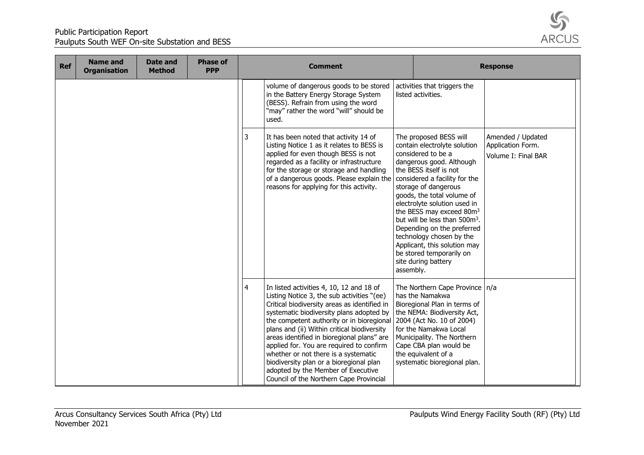

| <b>Ref</b> | <b>Name and</b><br><b>Organisation</b> | Date and<br><b>Method</b> | <b>Phase of</b><br><b>PPP</b> |   | <b>Comment</b><br><b>Response</b>                                                                                                                                                                                                                                                                                                                                                                                                                                                                                                            |           |                                                                                                                                                                                                                                                                                                                                                                                                                                                                                             |                                                               |
|------------|----------------------------------------|---------------------------|-------------------------------|---|----------------------------------------------------------------------------------------------------------------------------------------------------------------------------------------------------------------------------------------------------------------------------------------------------------------------------------------------------------------------------------------------------------------------------------------------------------------------------------------------------------------------------------------------|-----------|---------------------------------------------------------------------------------------------------------------------------------------------------------------------------------------------------------------------------------------------------------------------------------------------------------------------------------------------------------------------------------------------------------------------------------------------------------------------------------------------|---------------------------------------------------------------|
|            |                                        |                           |                               |   | volume of dangerous goods to be stored<br>in the Battery Energy Storage System<br>(BESS). Refrain from using the word<br>"may" rather the word "will" should be<br>used.                                                                                                                                                                                                                                                                                                                                                                     |           | activities that triggers the<br>listed activities.                                                                                                                                                                                                                                                                                                                                                                                                                                          |                                                               |
|            |                                        |                           |                               | 3 | It has been noted that activity 14 of<br>Listing Notice 1 as it relates to BESS is<br>applied for even though BESS is not<br>regarded as a facility or infrastructure<br>for the storage or storage and handling<br>of a dangerous goods. Please explain the<br>reasons for applying for this activity.                                                                                                                                                                                                                                      | assembly. | The proposed BESS will<br>contain electrolyte solution<br>considered to be a<br>dangerous good. Although<br>the BESS itself is not<br>considered a facility for the<br>storage of dangerous<br>goods, the total volume of<br>electrolyte solution used in<br>the BESS may exceed 80m <sup>3</sup><br>but will be less than 500m <sup>3</sup> .<br>Depending on the preferred<br>technology chosen by the<br>Applicant, this solution may<br>be stored temporarily on<br>site during battery | Amended / Updated<br>Application Form.<br>Volume I: Final BAR |
|            |                                        |                           |                               | 4 | In listed activities 4, 10, 12 and 18 of<br>Listing Notice 3, the sub activities "(ee)<br>Critical biodiversity areas as identified in<br>systematic biodiversity plans adopted by<br>the competent authority or in bioregional<br>plans and (ii) Within critical biodiversity<br>areas identified in bioregional plans" are<br>applied for. You are required to confirm<br>whether or not there is a systematic<br>biodiversity plan or a bioregional plan<br>adopted by the Member of Executive<br>Council of the Northern Cape Provincial |           | The Northern Cape Province   n/a<br>has the Namakwa<br>Bioregional Plan in terms of<br>the NEMA: Biodiversity Act,<br>2004 (Act No. 10 of 2004)<br>for the Namakwa Local<br>Municipality. The Northern<br>Cape CBA plan would be<br>the equivalent of a<br>systematic bioregional plan.                                                                                                                                                                                                     |                                                               |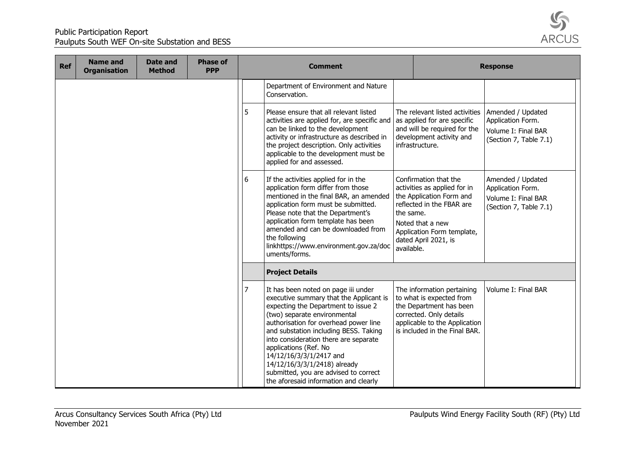

| <b>Ref</b> | <b>Name and</b><br><b>Organisation</b> | Date and<br><b>Method</b> | <b>Phase of</b><br><b>PPP</b> | <b>Comment</b> |                                                                                                                                                                                                                                                                                                                                                                                                                                                        |                         | <b>Response</b>                                                                                                                                                                          |                                                                                         |
|------------|----------------------------------------|---------------------------|-------------------------------|----------------|--------------------------------------------------------------------------------------------------------------------------------------------------------------------------------------------------------------------------------------------------------------------------------------------------------------------------------------------------------------------------------------------------------------------------------------------------------|-------------------------|------------------------------------------------------------------------------------------------------------------------------------------------------------------------------------------|-----------------------------------------------------------------------------------------|
|            |                                        |                           |                               |                | Department of Environment and Nature<br>Conservation.                                                                                                                                                                                                                                                                                                                                                                                                  |                         |                                                                                                                                                                                          |                                                                                         |
|            |                                        |                           |                               | 5              | Please ensure that all relevant listed<br>activities are applied for, are specific and<br>can be linked to the development<br>activity or infrastructure as described in<br>the project description. Only activities<br>applicable to the development must be<br>applied for and assessed.                                                                                                                                                             |                         | The relevant listed activities   Amended / Updated<br>as applied for are specific<br>and will be required for the<br>development activity and<br>infrastructure.                         | Application Form.<br>Volume I: Final BAR<br>(Section 7, Table 7.1)                      |
|            |                                        |                           |                               | 6              | If the activities applied for in the<br>application form differ from those<br>mentioned in the final BAR, an amended<br>application form must be submitted.<br>Please note that the Department's<br>application form template has been<br>amended and can be downloaded from<br>the following<br>linkhttps://www.environment.gov.za/doc<br>uments/forms.                                                                                               | the same.<br>available. | Confirmation that the<br>activities as applied for in<br>the Application Form and<br>reflected in the FBAR are<br>Noted that a new<br>Application Form template,<br>dated April 2021, is | Amended / Updated<br>Application Form.<br>Volume I: Final BAR<br>(Section 7, Table 7.1) |
|            |                                        |                           |                               |                | <b>Project Details</b>                                                                                                                                                                                                                                                                                                                                                                                                                                 |                         |                                                                                                                                                                                          |                                                                                         |
|            |                                        |                           |                               | 7              | It has been noted on page iii under<br>executive summary that the Applicant is<br>expecting the Department to issue 2<br>(two) separate environmental<br>authorisation for overhead power line<br>and substation including BESS. Taking<br>into consideration there are separate<br>applications (Ref. No<br>14/12/16/3/3/1/2417 and<br>14/12/16/3/3/1/2418) already<br>submitted, you are advised to correct<br>the aforesaid information and clearly |                         | The information pertaining<br>to what is expected from<br>the Department has been<br>corrected. Only details<br>applicable to the Application<br>is included in the Final BAR.           | Volume I: Final BAR                                                                     |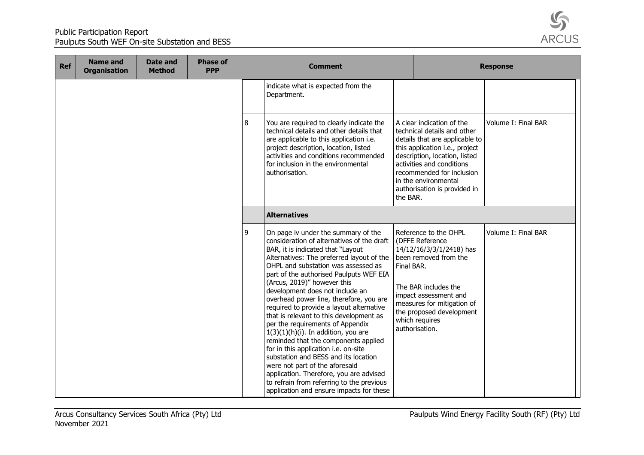

| <b>Ref</b> | <b>Name and</b><br><b>Organisation</b> | Date and<br><b>Method</b> | <b>Phase of</b><br><b>PPP</b> | <b>Comment</b> |                                                                                                                                                                                                                                                                                                                                                                                                                                                                                                                                                                                                                                                                                                                                                                                                                                       |            | <b>Response</b>                                                                                                                                                                                                                                                                 |                     |  |
|------------|----------------------------------------|---------------------------|-------------------------------|----------------|---------------------------------------------------------------------------------------------------------------------------------------------------------------------------------------------------------------------------------------------------------------------------------------------------------------------------------------------------------------------------------------------------------------------------------------------------------------------------------------------------------------------------------------------------------------------------------------------------------------------------------------------------------------------------------------------------------------------------------------------------------------------------------------------------------------------------------------|------------|---------------------------------------------------------------------------------------------------------------------------------------------------------------------------------------------------------------------------------------------------------------------------------|---------------------|--|
|            |                                        |                           |                               |                | indicate what is expected from the<br>Department.                                                                                                                                                                                                                                                                                                                                                                                                                                                                                                                                                                                                                                                                                                                                                                                     |            |                                                                                                                                                                                                                                                                                 |                     |  |
|            |                                        |                           |                               | 8              | You are required to clearly indicate the<br>technical details and other details that<br>are applicable to this application i.e.<br>project description, location, listed<br>activities and conditions recommended<br>for inclusion in the environmental<br>authorisation.                                                                                                                                                                                                                                                                                                                                                                                                                                                                                                                                                             | the BAR.   | A clear indication of the<br>technical details and other<br>details that are applicable to<br>this application i.e., project<br>description, location, listed<br>activities and conditions<br>recommended for inclusion<br>in the environmental<br>authorisation is provided in | Volume I: Final BAR |  |
|            |                                        |                           |                               |                | <b>Alternatives</b>                                                                                                                                                                                                                                                                                                                                                                                                                                                                                                                                                                                                                                                                                                                                                                                                                   |            |                                                                                                                                                                                                                                                                                 |                     |  |
|            |                                        |                           |                               | 9              | On page iv under the summary of the<br>consideration of alternatives of the draft<br>BAR, it is indicated that "Layout<br>Alternatives: The preferred layout of the<br>OHPL and substation was assessed as<br>part of the authorised Paulputs WEF EIA<br>(Arcus, 2019)" however this<br>development does not include an<br>overhead power line, therefore, you are<br>required to provide a layout alternative<br>that is relevant to this development as<br>per the requirements of Appendix<br>$1(3)(1)(h)(i)$ . In addition, you are<br>reminded that the components applied<br>for in this application i.e. on-site<br>substation and BESS and its location<br>were not part of the aforesaid<br>application. Therefore, you are advised<br>to refrain from referring to the previous<br>application and ensure impacts for these | Final BAR. | Reference to the OHPL<br>(DFFE Reference<br>14/12/16/3/3/1/2418) has<br>been removed from the<br>The BAR includes the<br>impact assessment and<br>measures for mitigation of<br>the proposed development<br>which requires<br>authorisation.                                    | Volume I: Final BAR |  |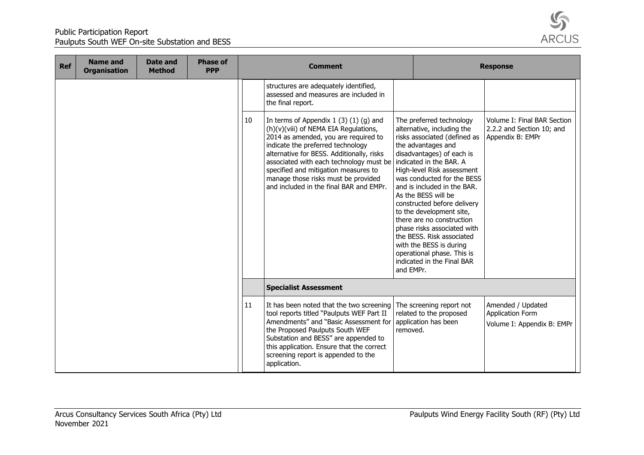

| <b>Ref</b> | <b>Name and</b><br><b>Organisation</b> | Date and<br><b>Method</b> | <b>Phase of</b><br><b>PPP</b> | <b>Comment</b> |                                                                                                                                                                                                                                                                                                                                                                               | <b>Response</b> |                                                                                                                                                                                                                                                                                                                                                                                                                                                                                                                                   |                                                                              |
|------------|----------------------------------------|---------------------------|-------------------------------|----------------|-------------------------------------------------------------------------------------------------------------------------------------------------------------------------------------------------------------------------------------------------------------------------------------------------------------------------------------------------------------------------------|-----------------|-----------------------------------------------------------------------------------------------------------------------------------------------------------------------------------------------------------------------------------------------------------------------------------------------------------------------------------------------------------------------------------------------------------------------------------------------------------------------------------------------------------------------------------|------------------------------------------------------------------------------|
|            |                                        |                           |                               |                | structures are adequately identified,<br>assessed and measures are included in<br>the final report.                                                                                                                                                                                                                                                                           |                 |                                                                                                                                                                                                                                                                                                                                                                                                                                                                                                                                   |                                                                              |
|            |                                        |                           |                               | 10             | In terms of Appendix $1(3)(1)(q)$ and<br>(h)(v)(viii) of NEMA EIA Regulations,<br>2014 as amended, you are required to<br>indicate the preferred technology<br>alternative for BESS. Additionally, risks<br>associated with each technology must be<br>specified and mitigation measures to<br>manage those risks must be provided<br>and included in the final BAR and EMPr. | and EMPr.       | The preferred technology<br>alternative, including the<br>risks associated (defined as<br>the advantages and<br>disadvantages) of each is<br>indicated in the BAR. A<br>High-level Risk assessment<br>was conducted for the BESS<br>and is included in the BAR.<br>As the BESS will be<br>constructed before delivery<br>to the development site,<br>there are no construction<br>phase risks associated with<br>the BESS. Risk associated<br>with the BESS is during<br>operational phase. This is<br>indicated in the Final BAR | Volume I: Final BAR Section<br>2.2.2 and Section 10; and<br>Appendix B: EMPr |
|            |                                        |                           |                               |                | <b>Specialist Assessment</b>                                                                                                                                                                                                                                                                                                                                                  |                 |                                                                                                                                                                                                                                                                                                                                                                                                                                                                                                                                   |                                                                              |
|            |                                        |                           |                               | 11             | It has been noted that the two screening<br>tool reports titled "Paulputs WEF Part II<br>Amendments" and "Basic Assessment for<br>the Proposed Paulputs South WEF<br>Substation and BESS" are appended to<br>this application. Ensure that the correct<br>screening report is appended to the<br>application.                                                                 | removed.        | The screening report not<br>related to the proposed<br>application has been                                                                                                                                                                                                                                                                                                                                                                                                                                                       | Amended / Updated<br><b>Application Form</b><br>Volume I: Appendix B: EMPr   |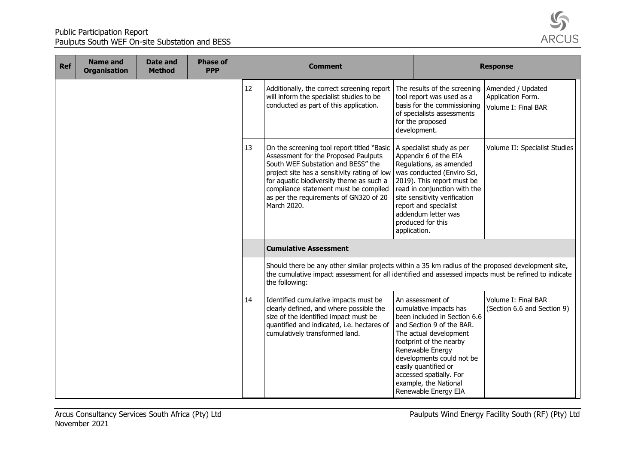

| <b>Ref</b> | <b>Name and</b><br><b>Organisation</b> | <b>Date and</b><br><b>Method</b> | <b>Phase of</b><br><b>PPP</b> |    | <b>Comment</b>                                                                                                                                                                                                                                                                                                         |              |                                                                                                                                                                                                                                                                                                                   | <b>Response</b>                                               |
|------------|----------------------------------------|----------------------------------|-------------------------------|----|------------------------------------------------------------------------------------------------------------------------------------------------------------------------------------------------------------------------------------------------------------------------------------------------------------------------|--------------|-------------------------------------------------------------------------------------------------------------------------------------------------------------------------------------------------------------------------------------------------------------------------------------------------------------------|---------------------------------------------------------------|
|            |                                        |                                  |                               | 12 | Additionally, the correct screening report<br>will inform the specialist studies to be<br>conducted as part of this application.                                                                                                                                                                                       |              | The results of the screening<br>tool report was used as a<br>basis for the commissioning<br>of specialists assessments<br>for the proposed<br>development.                                                                                                                                                        | Amended / Updated<br>Application Form.<br>Volume I: Final BAR |
|            |                                        |                                  |                               | 13 | On the screening tool report titled "Basic<br>Assessment for the Proposed Paulputs<br>South WEF Substation and BESS" the<br>project site has a sensitivity rating of low<br>for aquatic biodiversity theme as such a<br>compliance statement must be compiled<br>as per the requirements of GN320 of 20<br>March 2020. | application. | A specialist study as per<br>Appendix 6 of the EIA<br>Regulations, as amended<br>was conducted (Enviro Sci,<br>2019). This report must be<br>read in conjunction with the<br>site sensitivity verification<br>report and specialist<br>addendum letter was<br>produced for this                                   | Volume II: Specialist Studies                                 |
|            |                                        |                                  |                               |    | <b>Cumulative Assessment</b>                                                                                                                                                                                                                                                                                           |              |                                                                                                                                                                                                                                                                                                                   |                                                               |
|            |                                        |                                  |                               |    | Should there be any other similar projects within a 35 km radius of the proposed development site,<br>the cumulative impact assessment for all identified and assessed impacts must be refined to indicate<br>the following:                                                                                           |              |                                                                                                                                                                                                                                                                                                                   |                                                               |
|            |                                        |                                  |                               | 14 | Identified cumulative impacts must be<br>clearly defined, and where possible the<br>size of the identified impact must be<br>quantified and indicated, i.e. hectares of<br>cumulatively transformed land.                                                                                                              |              | An assessment of<br>cumulative impacts has<br>been included in Section 6.6<br>and Section 9 of the BAR.<br>The actual development<br>footprint of the nearby<br>Renewable Energy<br>developments could not be<br>easily quantified or<br>accessed spatially. For<br>example, the National<br>Renewable Energy EIA | Volume I: Final BAR<br>(Section 6.6 and Section 9)            |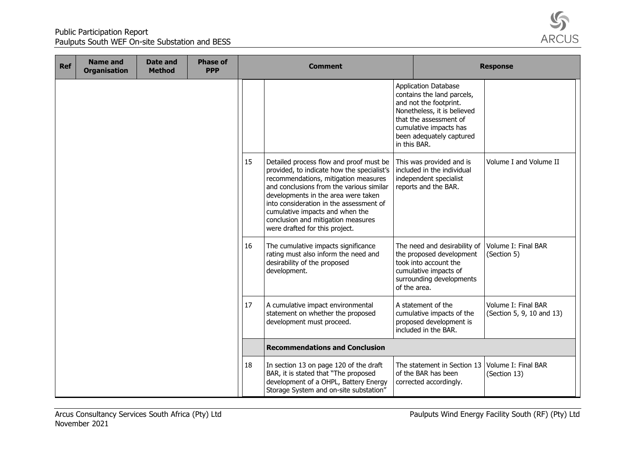

| <b>Ref</b> | <b>Name and</b><br><b>Organisation</b> | Date and<br><b>Method</b> | <b>Phase of</b><br><b>PPP</b> |    | <b>Comment</b>                                                                                                                                                                                                                                                                                                                                                         |              |                                                                                                                                                                                                    | <b>Response</b>                                  |  |
|------------|----------------------------------------|---------------------------|-------------------------------|----|------------------------------------------------------------------------------------------------------------------------------------------------------------------------------------------------------------------------------------------------------------------------------------------------------------------------------------------------------------------------|--------------|----------------------------------------------------------------------------------------------------------------------------------------------------------------------------------------------------|--------------------------------------------------|--|
|            |                                        |                           |                               |    |                                                                                                                                                                                                                                                                                                                                                                        | in this BAR. | <b>Application Database</b><br>contains the land parcels,<br>and not the footprint.<br>Nonetheless, it is believed<br>that the assessment of<br>cumulative impacts has<br>been adequately captured |                                                  |  |
|            |                                        |                           |                               | 15 | Detailed process flow and proof must be<br>provided, to indicate how the specialist's<br>recommendations, mitigation measures<br>and conclusions from the various similar<br>developments in the area were taken<br>into consideration in the assessment of<br>cumulative impacts and when the<br>conclusion and mitigation measures<br>were drafted for this project. |              | This was provided and is<br>included in the individual<br>independent specialist<br>reports and the BAR.                                                                                           | Volume I and Volume II                           |  |
|            |                                        |                           |                               | 16 | The cumulative impacts significance<br>rating must also inform the need and<br>desirability of the proposed<br>development.                                                                                                                                                                                                                                            | of the area. | The need and desirability of<br>the proposed development<br>took into account the<br>cumulative impacts of<br>surrounding developments                                                             | Volume I: Final BAR<br>(Section 5)               |  |
|            |                                        |                           |                               | 17 | A cumulative impact environmental<br>statement on whether the proposed<br>development must proceed.                                                                                                                                                                                                                                                                    |              | A statement of the<br>cumulative impacts of the<br>proposed development is<br>included in the BAR.                                                                                                 | Volume I: Final BAR<br>(Section 5, 9, 10 and 13) |  |
|            |                                        |                           |                               |    | <b>Recommendations and Conclusion</b>                                                                                                                                                                                                                                                                                                                                  |              |                                                                                                                                                                                                    |                                                  |  |
|            |                                        |                           |                               | 18 | In section 13 on page 120 of the draft<br>BAR, it is stated that "The proposed<br>development of a OHPL, Battery Energy<br>Storage System and on-site substation"                                                                                                                                                                                                      |              | The statement in Section 13<br>of the BAR has been<br>corrected accordingly.                                                                                                                       | Volume I: Final BAR<br>(Section 13)              |  |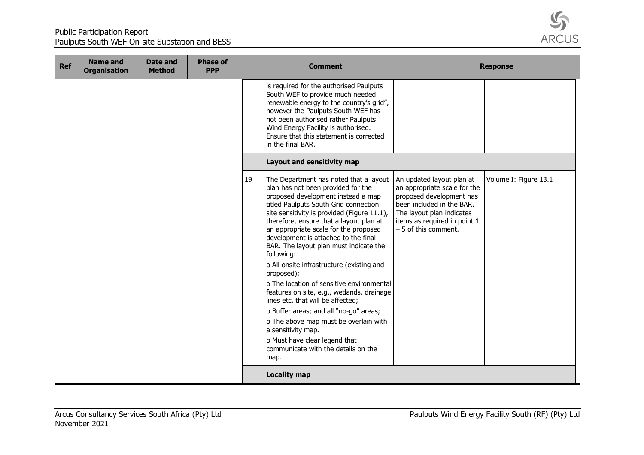

| <b>Ref</b> | <b>Name and</b><br><b>Organisation</b> | Date and<br><b>Method</b> | <b>Phase of</b><br><b>PPP</b> |    | <b>Comment</b>                                                                                                                                                                                                                                                                                                                                                                                                                                                                                                                                                                                                                                                                                                                                                                     |                                                                                                                                                                                                         | <b>Response</b>       |
|------------|----------------------------------------|---------------------------|-------------------------------|----|------------------------------------------------------------------------------------------------------------------------------------------------------------------------------------------------------------------------------------------------------------------------------------------------------------------------------------------------------------------------------------------------------------------------------------------------------------------------------------------------------------------------------------------------------------------------------------------------------------------------------------------------------------------------------------------------------------------------------------------------------------------------------------|---------------------------------------------------------------------------------------------------------------------------------------------------------------------------------------------------------|-----------------------|
|            |                                        |                           |                               |    | is required for the authorised Paulputs<br>South WEF to provide much needed<br>renewable energy to the country's grid",<br>however the Paulputs South WEF has<br>not been authorised rather Paulputs<br>Wind Energy Facility is authorised.<br>Ensure that this statement is corrected<br>in the final BAR.                                                                                                                                                                                                                                                                                                                                                                                                                                                                        |                                                                                                                                                                                                         |                       |
|            |                                        |                           |                               |    | Layout and sensitivity map                                                                                                                                                                                                                                                                                                                                                                                                                                                                                                                                                                                                                                                                                                                                                         |                                                                                                                                                                                                         |                       |
|            |                                        |                           |                               | 19 | The Department has noted that a layout<br>plan has not been provided for the<br>proposed development instead a map<br>titled Paulputs South Grid connection<br>site sensitivity is provided (Figure 11.1),<br>therefore, ensure that a layout plan at<br>an appropriate scale for the proposed<br>development is attached to the final<br>BAR. The layout plan must indicate the<br>following:<br>o All onsite infrastructure (existing and<br>proposed);<br>o The location of sensitive environmental<br>features on site, e.g., wetlands, drainage<br>lines etc. that will be affected;<br>o Buffer areas; and all "no-go" areas;<br>o The above map must be overlain with<br>a sensitivity map.<br>o Must have clear legend that<br>communicate with the details on the<br>map. | An updated layout plan at<br>an appropriate scale for the<br>proposed development has<br>been included in the BAR.<br>The layout plan indicates<br>items as required in point 1<br>- 5 of this comment. | Volume I: Figure 13.1 |
|            |                                        |                           |                               |    | <b>Locality map</b>                                                                                                                                                                                                                                                                                                                                                                                                                                                                                                                                                                                                                                                                                                                                                                |                                                                                                                                                                                                         |                       |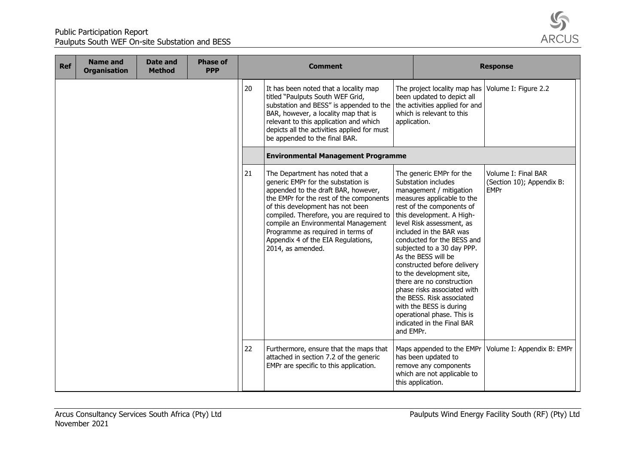

| <b>Ref</b> | <b>Name and</b><br><b>Organisation</b> | Date and<br><b>Method</b> | <b>Phase of</b><br><b>PPP</b> |    | <b>Comment</b>                                                                                                                                                                                                                                                                                                                                                                 |              |                                                                                                                                                                                                                                                                                                                                                                                                                                                                                                                                                          | <b>Response</b>                                                 |  |
|------------|----------------------------------------|---------------------------|-------------------------------|----|--------------------------------------------------------------------------------------------------------------------------------------------------------------------------------------------------------------------------------------------------------------------------------------------------------------------------------------------------------------------------------|--------------|----------------------------------------------------------------------------------------------------------------------------------------------------------------------------------------------------------------------------------------------------------------------------------------------------------------------------------------------------------------------------------------------------------------------------------------------------------------------------------------------------------------------------------------------------------|-----------------------------------------------------------------|--|
|            |                                        |                           |                               | 20 | It has been noted that a locality map<br>titled "Paulputs South WEF Grid,<br>substation and BESS" is appended to the<br>BAR, however, a locality map that is<br>relevant to this application and which<br>depicts all the activities applied for must<br>be appended to the final BAR.                                                                                         | application. | The project locality map has   Volume I: Figure 2.2<br>been updated to depict all<br>the activities applied for and<br>which is relevant to this                                                                                                                                                                                                                                                                                                                                                                                                         |                                                                 |  |
|            |                                        |                           |                               |    | <b>Environmental Management Programme</b>                                                                                                                                                                                                                                                                                                                                      |              |                                                                                                                                                                                                                                                                                                                                                                                                                                                                                                                                                          |                                                                 |  |
|            |                                        |                           |                               | 21 | The Department has noted that a<br>generic EMPr for the substation is<br>appended to the draft BAR, however,<br>the EMPr for the rest of the components<br>of this development has not been<br>compiled. Therefore, you are required to<br>compile an Environmental Management<br>Programme as required in terms of<br>Appendix 4 of the EIA Regulations,<br>2014, as amended. | and EMPr.    | The generic EMPr for the<br>Substation includes<br>management / mitigation<br>measures applicable to the<br>rest of the components of<br>this development. A High-<br>level Risk assessment, as<br>included in the BAR was<br>conducted for the BESS and<br>subjected to a 30 day PPP.<br>As the BESS will be<br>constructed before delivery<br>to the development site,<br>there are no construction<br>phase risks associated with<br>the BESS. Risk associated<br>with the BESS is during<br>operational phase. This is<br>indicated in the Final BAR | Volume I: Final BAR<br>(Section 10); Appendix B:<br><b>EMPr</b> |  |
|            |                                        |                           |                               | 22 | Furthermore, ensure that the maps that<br>attached in section 7.2 of the generic<br>EMPr are specific to this application.                                                                                                                                                                                                                                                     |              | Maps appended to the EMPr<br>has been updated to<br>remove any components<br>which are not applicable to<br>this application.                                                                                                                                                                                                                                                                                                                                                                                                                            | Volume I: Appendix B: EMPr                                      |  |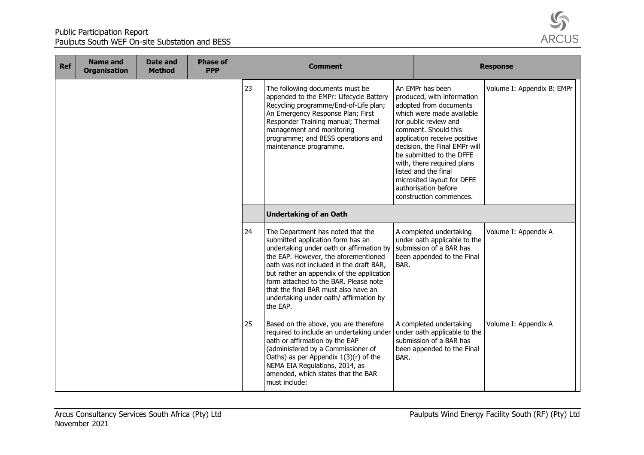

| <b>Ref</b> | <b>Name and</b><br><b>Organisation</b> | Date and<br><b>Method</b> | <b>Phase of</b><br><b>PPP</b> | <b>Comment</b><br><b>Response</b> |                                                                                                                                                                                                                                                                                                                                                                                           |      |                                                                                                                                                                                                                                                                                                                                                                                            |                            |
|------------|----------------------------------------|---------------------------|-------------------------------|-----------------------------------|-------------------------------------------------------------------------------------------------------------------------------------------------------------------------------------------------------------------------------------------------------------------------------------------------------------------------------------------------------------------------------------------|------|--------------------------------------------------------------------------------------------------------------------------------------------------------------------------------------------------------------------------------------------------------------------------------------------------------------------------------------------------------------------------------------------|----------------------------|
|            |                                        |                           |                               | 23                                | The following documents must be<br>appended to the EMPr: Lifecycle Battery<br>Recycling programme/End-of-Life plan;<br>An Emergency Response Plan; First<br>Responder Training manual; Thermal<br>management and monitoring<br>programme; and BESS operations and<br>maintenance programme.                                                                                               |      | An EMPr has been<br>produced, with information<br>adopted from documents<br>which were made available<br>for public review and<br>comment. Should this<br>application receive positive<br>decision, the Final EMPr will<br>be submitted to the DFFE<br>with, there required plans<br>listed and the final<br>microsited layout for DFFE<br>authorisation before<br>construction commences. | Volume I: Appendix B: EMPr |
|            |                                        |                           |                               |                                   | <b>Undertaking of an Oath</b>                                                                                                                                                                                                                                                                                                                                                             |      |                                                                                                                                                                                                                                                                                                                                                                                            |                            |
|            |                                        |                           |                               | 24                                | The Department has noted that the<br>submitted application form has an<br>undertaking under oath or affirmation by<br>the EAP. However, the aforementioned<br>oath was not included in the draft BAR,<br>but rather an appendix of the application<br>form attached to the BAR. Please note<br>that the final BAR must also have an<br>undertaking under oath/ affirmation by<br>the EAP. | BAR. | A completed undertaking<br>under oath applicable to the<br>submission of a BAR has<br>been appended to the Final                                                                                                                                                                                                                                                                           | Volume I: Appendix A       |
|            |                                        |                           |                               | 25                                | Based on the above, you are therefore<br>required to include an undertaking under<br>oath or affirmation by the EAP<br>(administered by a Commissioner of<br>Oaths) as per Appendix $1(3)(r)$ of the<br>NEMA EIA Regulations, 2014, as<br>amended, which states that the BAR<br>must include:                                                                                             | BAR. | A completed undertaking<br>under oath applicable to the<br>submission of a BAR has<br>been appended to the Final                                                                                                                                                                                                                                                                           | Volume I: Appendix A       |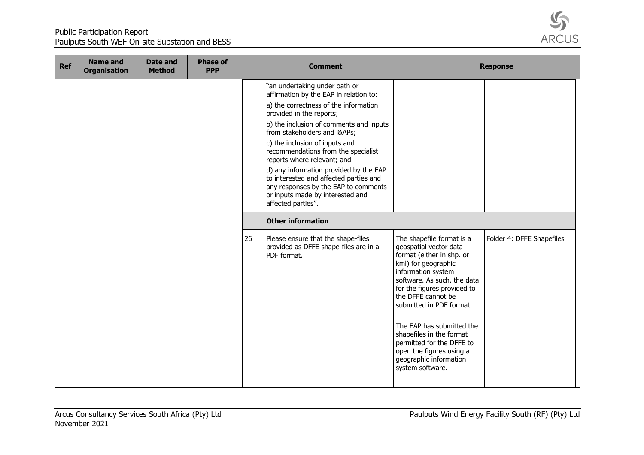

| <b>Ref</b> | <b>Name and</b><br><b>Organisation</b> | Date and<br><b>Method</b> | <b>Phase of</b><br><b>PPP</b> |    | <b>Comment</b>                                                                                                                                                                                                                                                                                                                                                                                                                                                                                                                                   |                                                                                                                                                                                                                                                                                                                                                                                                               | <b>Response</b>           |
|------------|----------------------------------------|---------------------------|-------------------------------|----|--------------------------------------------------------------------------------------------------------------------------------------------------------------------------------------------------------------------------------------------------------------------------------------------------------------------------------------------------------------------------------------------------------------------------------------------------------------------------------------------------------------------------------------------------|---------------------------------------------------------------------------------------------------------------------------------------------------------------------------------------------------------------------------------------------------------------------------------------------------------------------------------------------------------------------------------------------------------------|---------------------------|
|            |                                        |                           |                               |    | "an undertaking under oath or<br>affirmation by the EAP in relation to:<br>a) the correctness of the information<br>provided in the reports;<br>b) the inclusion of comments and inputs<br>from stakeholders and I&APs<br>c) the inclusion of inputs and<br>recommendations from the specialist<br>reports where relevant; and<br>d) any information provided by the EAP<br>to interested and affected parties and<br>any responses by the EAP to comments<br>or inputs made by interested and<br>affected parties".<br><b>Other information</b> |                                                                                                                                                                                                                                                                                                                                                                                                               |                           |
|            |                                        |                           |                               | 26 | Please ensure that the shape-files<br>provided as DFFE shape-files are in a<br>PDF format.                                                                                                                                                                                                                                                                                                                                                                                                                                                       | The shapefile format is a<br>geospatial vector data<br>format (either in shp. or<br>kml) for geographic<br>information system<br>software. As such, the data<br>for the figures provided to<br>the DFFE cannot be<br>submitted in PDF format.<br>The EAP has submitted the<br>shapefiles in the format<br>permitted for the DFFE to<br>open the figures using a<br>geographic information<br>system software. | Folder 4: DFFE Shapefiles |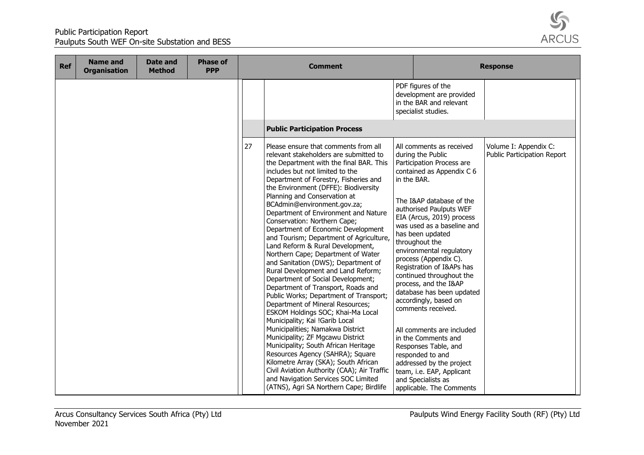

| <b>Ref</b> | <b>Name and</b><br><b>Organisation</b> | <b>Date and</b><br><b>Method</b> | <b>Phase of</b><br><b>PPP</b> | <b>Comment</b> |                                                                                                                                                                                                                                                                                                                                                                                                                                                                                                                                                                                                                                                                                                                                                                                                                                                                                                                                                                                                                                                                                                                                                                                           |             |                                                                                                                                                                                                                                                                                                                                                                                                                                                                                                                                                                                                                                                                                               | <b>Response</b>                                      |
|------------|----------------------------------------|----------------------------------|-------------------------------|----------------|-------------------------------------------------------------------------------------------------------------------------------------------------------------------------------------------------------------------------------------------------------------------------------------------------------------------------------------------------------------------------------------------------------------------------------------------------------------------------------------------------------------------------------------------------------------------------------------------------------------------------------------------------------------------------------------------------------------------------------------------------------------------------------------------------------------------------------------------------------------------------------------------------------------------------------------------------------------------------------------------------------------------------------------------------------------------------------------------------------------------------------------------------------------------------------------------|-------------|-----------------------------------------------------------------------------------------------------------------------------------------------------------------------------------------------------------------------------------------------------------------------------------------------------------------------------------------------------------------------------------------------------------------------------------------------------------------------------------------------------------------------------------------------------------------------------------------------------------------------------------------------------------------------------------------------|------------------------------------------------------|
|            |                                        |                                  |                               |                |                                                                                                                                                                                                                                                                                                                                                                                                                                                                                                                                                                                                                                                                                                                                                                                                                                                                                                                                                                                                                                                                                                                                                                                           |             | PDF figures of the<br>development are provided<br>in the BAR and relevant<br>specialist studies.                                                                                                                                                                                                                                                                                                                                                                                                                                                                                                                                                                                              |                                                      |
|            |                                        |                                  |                               |                | <b>Public Participation Process</b>                                                                                                                                                                                                                                                                                                                                                                                                                                                                                                                                                                                                                                                                                                                                                                                                                                                                                                                                                                                                                                                                                                                                                       |             |                                                                                                                                                                                                                                                                                                                                                                                                                                                                                                                                                                                                                                                                                               |                                                      |
|            |                                        |                                  |                               | 27             | Please ensure that comments from all<br>relevant stakeholders are submitted to<br>the Department with the final BAR. This<br>includes but not limited to the<br>Department of Forestry, Fisheries and<br>the Environment (DFFE): Biodiversity<br>Planning and Conservation at<br>BCAdmin@environment.gov.za;<br>Department of Environment and Nature<br>Conservation: Northern Cape;<br>Department of Economic Development<br>and Tourism; Department of Agriculture,<br>Land Reform & Rural Development,<br>Northern Cape; Department of Water<br>and Sanitation (DWS); Department of<br>Rural Development and Land Reform;<br>Department of Social Development;<br>Department of Transport, Roads and<br>Public Works; Department of Transport;<br>Department of Mineral Resources;<br>ESKOM Holdings SOC; Khai-Ma Local<br>Municipality; Kai !Garib Local<br>Municipalities; Namakwa District<br>Municipality; ZF Mgcawu District<br>Municipality; South African Heritage<br>Resources Agency (SAHRA); Square<br>Kilometre Array (SKA); South African<br>Civil Aviation Authority (CAA); Air Traffic<br>and Navigation Services SOC Limited<br>(ATNS), Agri SA Northern Cape; Birdlife | in the BAR. | All comments as received<br>during the Public<br>Participation Process are<br>contained as Appendix C 6<br>The I&AP database of the<br>authorised Paulputs WEF<br>EIA (Arcus, 2019) process<br>was used as a baseline and<br>has been updated<br>throughout the<br>environmental regulatory<br>process (Appendix C).<br>Registration of I&APs has<br>continued throughout the<br>process, and the I&AP<br>database has been updated<br>accordingly, based on<br>comments received.<br>All comments are included<br>in the Comments and<br>Responses Table, and<br>responded to and<br>addressed by the project<br>team, i.e. EAP, Applicant<br>and Specialists as<br>applicable. The Comments | Volume I: Appendix C:<br>Public Participation Report |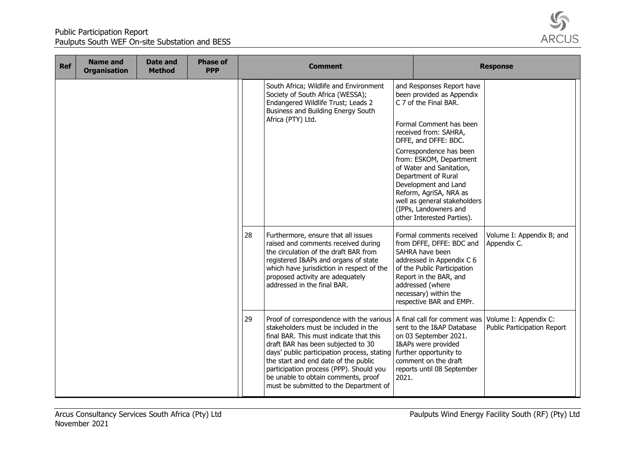

| <b>Ref</b> | <b>Name and</b><br><b>Organisation</b> | Date and<br><b>Method</b> | <b>Phase of</b><br><b>PPP</b> |    | <b>Comment</b>                                                                                                                                                                                                                                                                                                                                                                       |       |                                                                                                                                                                                                                                                                                                                                                                                                               | <b>Response</b>                                                                     |
|------------|----------------------------------------|---------------------------|-------------------------------|----|--------------------------------------------------------------------------------------------------------------------------------------------------------------------------------------------------------------------------------------------------------------------------------------------------------------------------------------------------------------------------------------|-------|---------------------------------------------------------------------------------------------------------------------------------------------------------------------------------------------------------------------------------------------------------------------------------------------------------------------------------------------------------------------------------------------------------------|-------------------------------------------------------------------------------------|
|            |                                        |                           |                               |    | South Africa; Wildlife and Environment<br>Society of South Africa (WESSA);<br>Endangered Wildlife Trust; Leads 2<br>Business and Building Energy South<br>Africa (PTY) Ltd.                                                                                                                                                                                                          |       | and Responses Report have<br>been provided as Appendix<br>C 7 of the Final BAR.<br>Formal Comment has been<br>received from: SAHRA,<br>DFFE, and DFFE: BDC.<br>Correspondence has been<br>from: ESKOM, Department<br>of Water and Sanitation,<br>Department of Rural<br>Development and Land<br>Reform, AgriSA, NRA as<br>well as general stakeholders<br>(IPPs, Landowners and<br>other Interested Parties). |                                                                                     |
|            |                                        |                           |                               | 28 | Furthermore, ensure that all issues<br>raised and comments received during<br>the circulation of the draft BAR from<br>registered I&APs and organs of state<br>which have jurisdiction in respect of the<br>proposed activity are adequately<br>addressed in the final BAR.                                                                                                          |       | Formal comments received<br>from DFFE, DFFE: BDC and<br>SAHRA have been<br>addressed in Appendix C 6<br>of the Public Participation<br>Report in the BAR, and<br>addressed (where<br>necessary) within the<br>respective BAR and EMPr.                                                                                                                                                                        | Volume I: Appendix B; and<br>Appendix C.                                            |
|            |                                        |                           |                               | 29 | Proof of correspondence with the various<br>stakeholders must be included in the<br>final BAR. This must indicate that this<br>draft BAR has been subjected to 30<br>days' public participation process, stating<br>the start and end date of the public<br>participation process (PPP). Should you<br>be unable to obtain comments, proof<br>must be submitted to the Department of | 2021. | sent to the I&AP Database<br>on 03 September 2021.<br>I&APs were provided<br>further opportunity to<br>comment on the draft<br>reports until 08 September                                                                                                                                                                                                                                                     | A final call for comment was   Volume I: Appendix C:<br>Public Participation Report |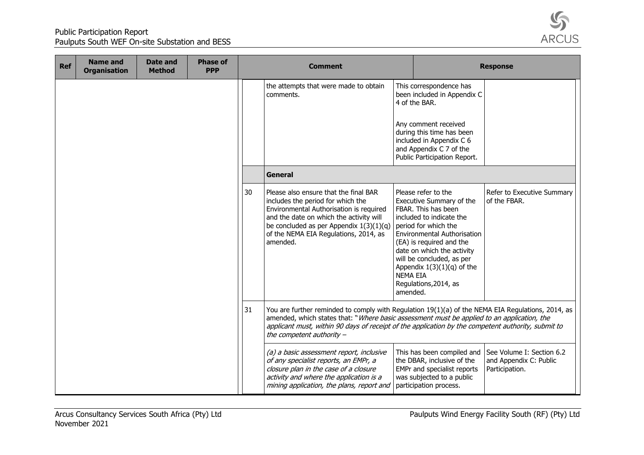

| <b>Ref</b> | <b>Name and</b><br><b>Organisation</b> | <b>Date and</b><br><b>Method</b> | <b>Phase of</b><br><b>PPP</b> |    | <b>Comment</b>                                                                                                                                                                                                                                                                                                                       |                             |                                                                                                                                                                                                                                                                                                                  | <b>Response</b>                                                       |
|------------|----------------------------------------|----------------------------------|-------------------------------|----|--------------------------------------------------------------------------------------------------------------------------------------------------------------------------------------------------------------------------------------------------------------------------------------------------------------------------------------|-----------------------------|------------------------------------------------------------------------------------------------------------------------------------------------------------------------------------------------------------------------------------------------------------------------------------------------------------------|-----------------------------------------------------------------------|
|            |                                        |                                  |                               |    | the attempts that were made to obtain<br>comments.                                                                                                                                                                                                                                                                                   |                             | This correspondence has<br>been included in Appendix C<br>4 of the BAR.<br>Any comment received<br>during this time has been<br>included in Appendix C 6<br>and Appendix C 7 of the<br>Public Participation Report.                                                                                              |                                                                       |
|            |                                        |                                  |                               |    | <b>General</b>                                                                                                                                                                                                                                                                                                                       |                             |                                                                                                                                                                                                                                                                                                                  |                                                                       |
|            |                                        |                                  |                               | 30 | Please also ensure that the final BAR<br>includes the period for which the<br>Environmental Authorisation is required<br>and the date on which the activity will<br>be concluded as per Appendix $1(3)(1)(q)$<br>of the NEMA EIA Regulations, 2014, as<br>amended.                                                                   | <b>NEMA EIA</b><br>amended. | Please refer to the<br>Executive Summary of the<br>FBAR. This has been<br>included to indicate the<br>period for which the<br><b>Environmental Authorisation</b><br>(EA) is required and the<br>date on which the activity<br>will be concluded, as per<br>Appendix $1(3)(1)(q)$ of the<br>Regulations, 2014, as | Refer to Executive Summary<br>of the FBAR.                            |
|            |                                        |                                  |                               | 31 | You are further reminded to comply with Regulation 19(1)(a) of the NEMA EIA Regulations, 2014, as<br>amended, which states that: "Where basic assessment must be applied to an application, the<br>applicant must, within 90 days of receipt of the application by the competent authority, submit to<br>the competent authority $-$ |                             |                                                                                                                                                                                                                                                                                                                  |                                                                       |
|            |                                        |                                  |                               |    | (a) a basic assessment report, inclusive<br>of any specialist reports, an EMPr, a<br>closure plan in the case of a closure<br>activity and where the application is a<br>mining application, the plans, report and                                                                                                                   |                             | This has been compiled and<br>the DBAR, inclusive of the<br>EMPr and specialist reports<br>was subjected to a public<br>participation process.                                                                                                                                                                   | See Volume I: Section 6.2<br>and Appendix C: Public<br>Participation. |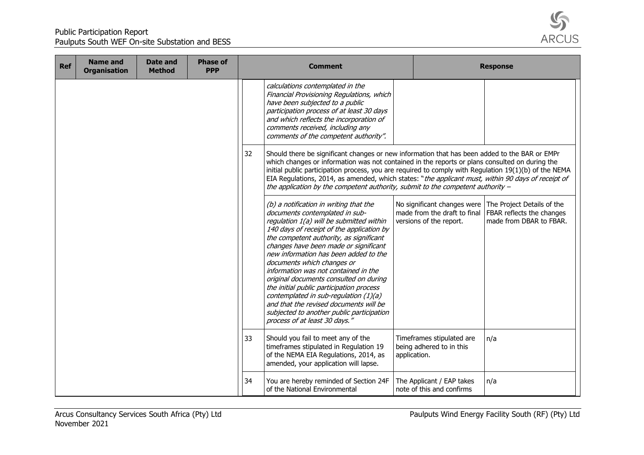

| <b>Ref</b> | <b>Name and</b><br><b>Organisation</b> | Date and<br><b>Method</b> | <b>Phase of</b><br><b>PPP</b> |    | <b>Comment</b>                                                                                                                                                                                                                                                                                                                                                                                                                                                                                                                                                                                                              |              |                                                        | <b>Response</b>                                                                                                                               |
|------------|----------------------------------------|---------------------------|-------------------------------|----|-----------------------------------------------------------------------------------------------------------------------------------------------------------------------------------------------------------------------------------------------------------------------------------------------------------------------------------------------------------------------------------------------------------------------------------------------------------------------------------------------------------------------------------------------------------------------------------------------------------------------------|--------------|--------------------------------------------------------|-----------------------------------------------------------------------------------------------------------------------------------------------|
|            |                                        |                           |                               |    | calculations contemplated in the<br>Financial Provisioning Regulations, which<br>have been subjected to a public<br>participation process of at least 30 days<br>and which reflects the incorporation of<br>comments received, including any<br>comments of the competent authority".                                                                                                                                                                                                                                                                                                                                       |              |                                                        |                                                                                                                                               |
|            |                                        |                           |                               | 32 | Should there be significant changes or new information that has been added to the BAR or EMPr<br>which changes or information was not contained in the reports or plans consulted on during the<br>initial public participation process, you are required to comply with Regulation 19(1)(b) of the NEMA<br>EIA Regulations, 2014, as amended, which states: "the applicant must, within 90 days of receipt of<br>the application by the competent authority, submit to the competent authority $-$                                                                                                                         |              |                                                        |                                                                                                                                               |
|            |                                        |                           |                               |    | (b) a notification in writing that the<br>documents contemplated in sub-<br>regulation 1(a) will be submitted within<br>140 days of receipt of the application by<br>the competent authority, as significant<br>changes have been made or significant<br>new information has been added to the<br>documents which changes or<br>information was not contained in the<br>original documents consulted on during<br>the initial public participation process<br>contemplated in sub-regulation (1)(a)<br>and that the revised documents will be<br>subjected to another public participation<br>process of at least 30 days." |              | versions of the report.                                | No significant changes were The Project Details of the<br>made from the draft to final   FBAR reflects the changes<br>made from DBAR to FBAR. |
|            |                                        |                           |                               | 33 | Should you fail to meet any of the<br>timeframes stipulated in Regulation 19<br>of the NEMA EIA Regulations, 2014, as<br>amended, your application will lapse.                                                                                                                                                                                                                                                                                                                                                                                                                                                              | application. | Timeframes stipulated are<br>being adhered to in this  | n/a                                                                                                                                           |
|            |                                        |                           |                               | 34 | You are hereby reminded of Section 24F<br>of the National Environmental                                                                                                                                                                                                                                                                                                                                                                                                                                                                                                                                                     |              | The Applicant / EAP takes<br>note of this and confirms | n/a                                                                                                                                           |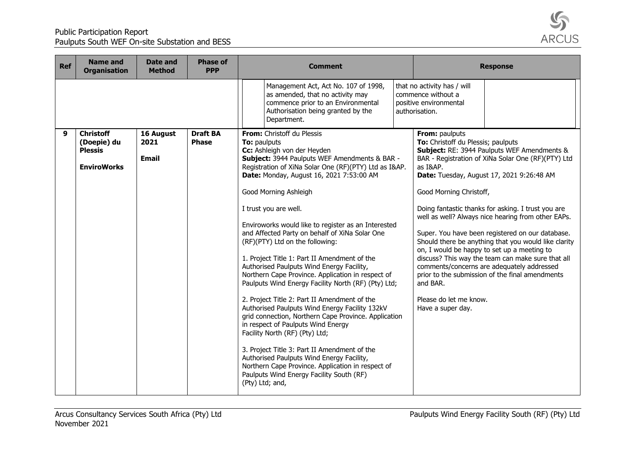

| <b>Ref</b> | <b>Name and</b><br><b>Organisation</b>                                  | <b>Date and</b><br><b>Method</b>  | <b>Phase of</b><br><b>PPP</b>   | <b>Comment</b>                                                                                                                                                                                                                                                                                                                                                                                                                                                                                                                                                                                                                                                                                                                                                                                                                                                                                                                                                                                                                                                                            |                                                                                                                                                               | <b>Response</b>                                                                                                                                                                                                                                                                                                                                                                                                                                                                                                                                                             |
|------------|-------------------------------------------------------------------------|-----------------------------------|---------------------------------|-------------------------------------------------------------------------------------------------------------------------------------------------------------------------------------------------------------------------------------------------------------------------------------------------------------------------------------------------------------------------------------------------------------------------------------------------------------------------------------------------------------------------------------------------------------------------------------------------------------------------------------------------------------------------------------------------------------------------------------------------------------------------------------------------------------------------------------------------------------------------------------------------------------------------------------------------------------------------------------------------------------------------------------------------------------------------------------------|---------------------------------------------------------------------------------------------------------------------------------------------------------------|-----------------------------------------------------------------------------------------------------------------------------------------------------------------------------------------------------------------------------------------------------------------------------------------------------------------------------------------------------------------------------------------------------------------------------------------------------------------------------------------------------------------------------------------------------------------------------|
|            |                                                                         |                                   |                                 | Management Act, Act No. 107 of 1998,<br>as amended, that no activity may<br>commence prior to an Environmental<br>Authorisation being granted by the<br>Department.                                                                                                                                                                                                                                                                                                                                                                                                                                                                                                                                                                                                                                                                                                                                                                                                                                                                                                                       | that no activity has / will<br>commence without a<br>positive environmental<br>authorisation.                                                                 |                                                                                                                                                                                                                                                                                                                                                                                                                                                                                                                                                                             |
| 9          | <b>Christoff</b><br>(Doepie) du<br><b>Plessis</b><br><b>EnviroWorks</b> | 16 August<br>2021<br><b>Email</b> | <b>Draft BA</b><br><b>Phase</b> | From: Christoff du Plessis<br>To: paulputs<br>Cc: Ashleigh von der Heyden<br>Subject: 3944 Paulputs WEF Amendments & BAR -<br>Registration of XiNa Solar One (RF)(PTY) Ltd as I&AP.<br>Date: Monday, August 16, 2021 7:53:00 AM<br>Good Morning Ashleigh<br>I trust you are well.<br>Enviroworks would like to register as an Interested<br>and Affected Party on behalf of XiNa Solar One<br>(RF)(PTY) Ltd on the following:<br>1. Project Title 1: Part II Amendment of the<br>Authorised Paulputs Wind Energy Facility,<br>Northern Cape Province. Application in respect of<br>Paulputs Wind Energy Facility North (RF) (Pty) Ltd;<br>2. Project Title 2: Part II Amendment of the<br>Authorised Paulputs Wind Energy Facility 132kV<br>grid connection, Northern Cape Province. Application<br>in respect of Paulputs Wind Energy<br>Facility North (RF) (Pty) Ltd;<br>3. Project Title 3: Part II Amendment of the<br>Authorised Paulputs Wind Energy Facility,<br>Northern Cape Province. Application in respect of<br>Paulputs Wind Energy Facility South (RF)<br>(Pty) Ltd; and, | <b>From: paulputs</b><br>To: Christoff du Plessis; paulputs<br>as I&AP.<br>Good Morning Christoff,<br>and BAR.<br>Please do let me know.<br>Have a super day. | Subject: RE: 3944 Paulputs WEF Amendments &<br>BAR - Registration of XiNa Solar One (RF)(PTY) Ltd<br>Date: Tuesday, August 17, 2021 9:26:48 AM<br>Doing fantastic thanks for asking. I trust you are<br>well as well? Always nice hearing from other EAPs.<br>Super. You have been registered on our database.<br>Should there be anything that you would like clarity<br>on, I would be happy to set up a meeting to<br>discuss? This way the team can make sure that all<br>comments/concerns are adequately addressed<br>prior to the submission of the final amendments |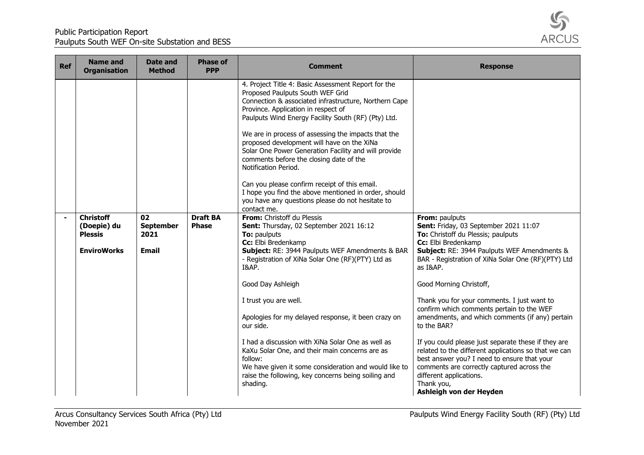

| <b>Ref</b> | <b>Name and</b><br><b>Organisation</b>                                  | <b>Date and</b><br><b>Method</b>               | <b>Phase of</b><br><b>PPP</b>   | <b>Comment</b>                                                                                                                                                                                                                                                                                                                                                                                                                                                                                                                                                                                                                                             | <b>Response</b>                                                                                                                                                                                                                                                              |
|------------|-------------------------------------------------------------------------|------------------------------------------------|---------------------------------|------------------------------------------------------------------------------------------------------------------------------------------------------------------------------------------------------------------------------------------------------------------------------------------------------------------------------------------------------------------------------------------------------------------------------------------------------------------------------------------------------------------------------------------------------------------------------------------------------------------------------------------------------------|------------------------------------------------------------------------------------------------------------------------------------------------------------------------------------------------------------------------------------------------------------------------------|
|            |                                                                         |                                                |                                 | 4. Project Title 4: Basic Assessment Report for the<br>Proposed Paulputs South WEF Grid<br>Connection & associated infrastructure, Northern Cape<br>Province. Application in respect of<br>Paulputs Wind Energy Facility South (RF) (Pty) Ltd.<br>We are in process of assessing the impacts that the<br>proposed development will have on the XiNa<br>Solar One Power Generation Facility and will provide<br>comments before the closing date of the<br>Notification Period.<br>Can you please confirm receipt of this email.<br>I hope you find the above mentioned in order, should<br>you have any questions please do not hesitate to<br>contact me. |                                                                                                                                                                                                                                                                              |
|            | <b>Christoff</b><br>(Doepie) du<br><b>Plessis</b><br><b>EnviroWorks</b> | 02<br><b>September</b><br>2021<br><b>Email</b> | <b>Draft BA</b><br><b>Phase</b> | From: Christoff du Plessis<br>Sent: Thursday, 02 September 2021 16:12<br>To: paulputs<br>Cc: Elbi Bredenkamp<br>Subject: RE: 3944 Paulputs WEF Amendments & BAR<br>- Registration of XiNa Solar One (RF)(PTY) Ltd as<br>I&AP.<br>Good Day Ashleigh                                                                                                                                                                                                                                                                                                                                                                                                         | From: paulputs<br>Sent: Friday, 03 September 2021 11:07<br>To: Christoff du Plessis; paulputs<br>Cc: Elbi Bredenkamp<br>Subject: RE: 3944 Paulputs WEF Amendments &<br>BAR - Registration of XiNa Solar One (RF)(PTY) Ltd<br>as I&AP.<br>Good Morning Christoff,             |
|            |                                                                         |                                                |                                 | I trust you are well.<br>Apologies for my delayed response, it been crazy on<br>our side.                                                                                                                                                                                                                                                                                                                                                                                                                                                                                                                                                                  | Thank you for your comments. I just want to<br>confirm which comments pertain to the WEF<br>amendments, and which comments (if any) pertain<br>to the BAR?                                                                                                                   |
|            |                                                                         |                                                |                                 | I had a discussion with XiNa Solar One as well as<br>KaXu Solar One, and their main concerns are as<br>follow:<br>We have given it some consideration and would like to<br>raise the following, key concerns being soiling and<br>shading.                                                                                                                                                                                                                                                                                                                                                                                                                 | If you could please just separate these if they are<br>related to the different applications so that we can<br>best answer you? I need to ensure that your<br>comments are correctly captured across the<br>different applications.<br>Thank you,<br>Ashleigh von der Heyden |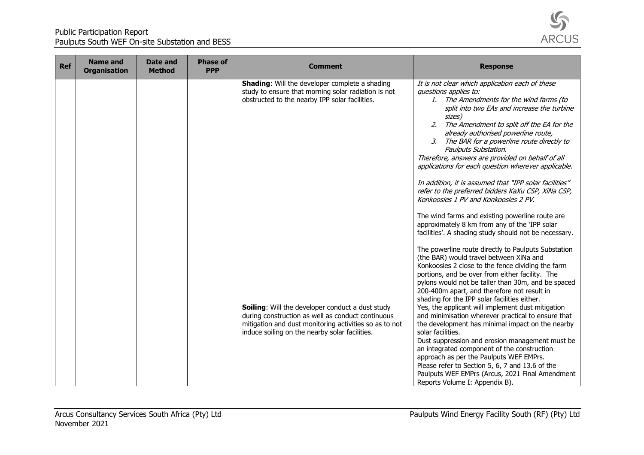

| <b>Ref</b> | <b>Name and</b><br><b>Organisation</b> | Date and<br><b>Method</b> | <b>Phase of</b><br><b>PPP</b> | <b>Comment</b>                                                                                                                                                                                                           | <b>Response</b>                                                                                                                                                                                                                                                                                                                                                                                                                                                                                                                                                                                                                                                                                                                                                                                                                      |
|------------|----------------------------------------|---------------------------|-------------------------------|--------------------------------------------------------------------------------------------------------------------------------------------------------------------------------------------------------------------------|--------------------------------------------------------------------------------------------------------------------------------------------------------------------------------------------------------------------------------------------------------------------------------------------------------------------------------------------------------------------------------------------------------------------------------------------------------------------------------------------------------------------------------------------------------------------------------------------------------------------------------------------------------------------------------------------------------------------------------------------------------------------------------------------------------------------------------------|
|            |                                        |                           |                               | <b>Shading:</b> Will the developer complete a shading<br>study to ensure that morning solar radiation is not<br>obstructed to the nearby IPP solar facilities.                                                           | It is not clear which application each of these<br>questions applies to:<br>The Amendments for the wind farms (to<br>1.<br>split into two EAs and increase the turbine<br>sizes)<br>2.<br>The Amendment to split off the EA for the<br>already authorised powerline route,<br>The BAR for a powerline route directly to<br>3.<br>Paulputs Substation.<br>Therefore, answers are provided on behalf of all<br>applications for each question wherever applicable.<br>In addition, it is assumed that "IPP solar facilities"<br>refer to the preferred bidders KaXu CSP, XiNa CSP,<br>Konkoosies 1 PV and Konkoosies 2 PV.<br>The wind farms and existing powerline route are<br>approximately 8 km from any of the 'IPP solar<br>facilities'. A shading study should not be necessary.                                                |
|            |                                        |                           |                               | <b>Soiling:</b> Will the developer conduct a dust study<br>during construction as well as conduct continuous<br>mitigation and dust monitoring activities so as to not<br>induce soiling on the nearby solar facilities. | The powerline route directly to Paulputs Substation<br>(the BAR) would travel between XiNa and<br>Konkoosies 2 close to the fence dividing the farm<br>portions, and be over from either facility. The<br>pylons would not be taller than 30m, and be spaced<br>200-400m apart, and therefore not result in<br>shading for the IPP solar facilities either.<br>Yes, the applicant will implement dust mitigation<br>and minimisation wherever practical to ensure that<br>the development has minimal impact on the nearby<br>solar facilities.<br>Dust suppression and erosion management must be<br>an integrated component of the construction<br>approach as per the Paulputs WEF EMPrs.<br>Please refer to Section 5, 6, 7 and 13.6 of the<br>Paulputs WEF EMPrs (Arcus, 2021 Final Amendment<br>Reports Volume I: Appendix B). |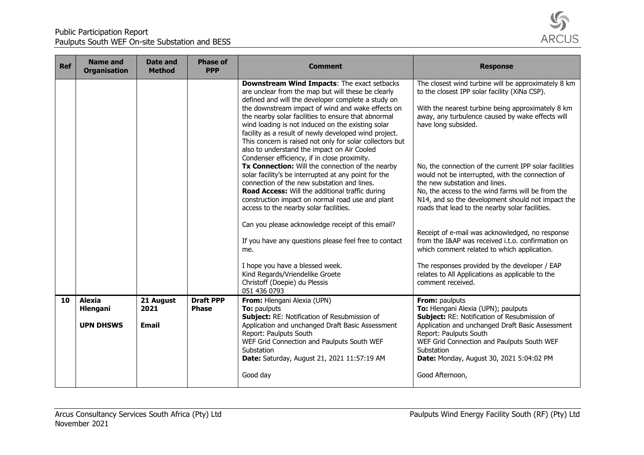

| <b>Ref</b> | <b>Name and</b><br><b>Organisation</b> | <b>Date and</b><br><b>Method</b> | <b>Phase of</b><br><b>PPP</b>    | <b>Comment</b>                                                                                                                                                                                                                                                                                                                                                                                                                                | <b>Response</b>                                                                                                                                                                                                                                                                                          |
|------------|----------------------------------------|----------------------------------|----------------------------------|-----------------------------------------------------------------------------------------------------------------------------------------------------------------------------------------------------------------------------------------------------------------------------------------------------------------------------------------------------------------------------------------------------------------------------------------------|----------------------------------------------------------------------------------------------------------------------------------------------------------------------------------------------------------------------------------------------------------------------------------------------------------|
|            |                                        |                                  |                                  | Downstream Wind Impacts: The exact setbacks<br>are unclear from the map but will these be clearly<br>defined and will the developer complete a study on<br>the downstream impact of wind and wake effects on<br>the nearby solar facilities to ensure that abnormal<br>wind loading is not induced on the existing solar<br>facility as a result of newly developed wind project.<br>This concern is raised not only for solar collectors but | The closest wind turbine will be approximately 8 km<br>to the closest IPP solar facility (XiNa CSP).<br>With the nearest turbine being approximately 8 km<br>away, any turbulence caused by wake effects will<br>have long subsided.                                                                     |
|            |                                        |                                  |                                  | also to understand the impact on Air Cooled<br>Condenser efficiency, if in close proximity.<br>Tx Connection: Will the connection of the nearby<br>solar facility's be interrupted at any point for the<br>connection of the new substation and lines.<br><b>Road Access:</b> Will the additional traffic during<br>construction impact on normal road use and plant<br>access to the nearby solar facilities.                                | No, the connection of the current IPP solar facilities<br>would not be interrupted, with the connection of<br>the new substation and lines.<br>No, the access to the wind farms will be from the<br>N14, and so the development should not impact the<br>roads that lead to the nearby solar facilities. |
|            |                                        |                                  |                                  | Can you please acknowledge receipt of this email?<br>If you have any questions please feel free to contact<br>me.                                                                                                                                                                                                                                                                                                                             | Receipt of e-mail was acknowledged, no response<br>from the I&AP was received i.t.o. confirmation on<br>which comment related to which application.                                                                                                                                                      |
|            |                                        |                                  |                                  | I hope you have a blessed week.<br>Kind Regards/Vriendelike Groete<br>Christoff (Doepie) du Plessis<br>051 436 0793                                                                                                                                                                                                                                                                                                                           | The responses provided by the developer / EAP<br>relates to All Applications as applicable to the<br>comment received.                                                                                                                                                                                   |
| 10         | <b>Alexia</b><br><b>Hlengani</b>       | 21 August<br>2021                | <b>Draft PPP</b><br><b>Phase</b> | From: Hlengani Alexia (UPN)<br><b>To:</b> paulputs                                                                                                                                                                                                                                                                                                                                                                                            | From: paulputs<br>To: Hlengani Alexia (UPN); paulputs                                                                                                                                                                                                                                                    |
|            | <b>UPN DHSWS</b>                       | <b>Email</b>                     |                                  | Subject: RE: Notification of Resubmission of<br>Application and unchanged Draft Basic Assessment                                                                                                                                                                                                                                                                                                                                              | <b>Subject: RE: Notification of Resubmission of</b><br>Application and unchanged Draft Basic Assessment                                                                                                                                                                                                  |
|            |                                        |                                  |                                  | Report: Paulputs South<br>WEF Grid Connection and Paulputs South WEF<br>Substation<br>Date: Saturday, August 21, 2021 11:57:19 AM                                                                                                                                                                                                                                                                                                             | Report: Paulputs South<br>WEF Grid Connection and Paulputs South WEF<br>Substation<br>Date: Monday, August 30, 2021 5:04:02 PM                                                                                                                                                                           |
|            |                                        |                                  |                                  | Good day                                                                                                                                                                                                                                                                                                                                                                                                                                      | Good Afternoon,                                                                                                                                                                                                                                                                                          |